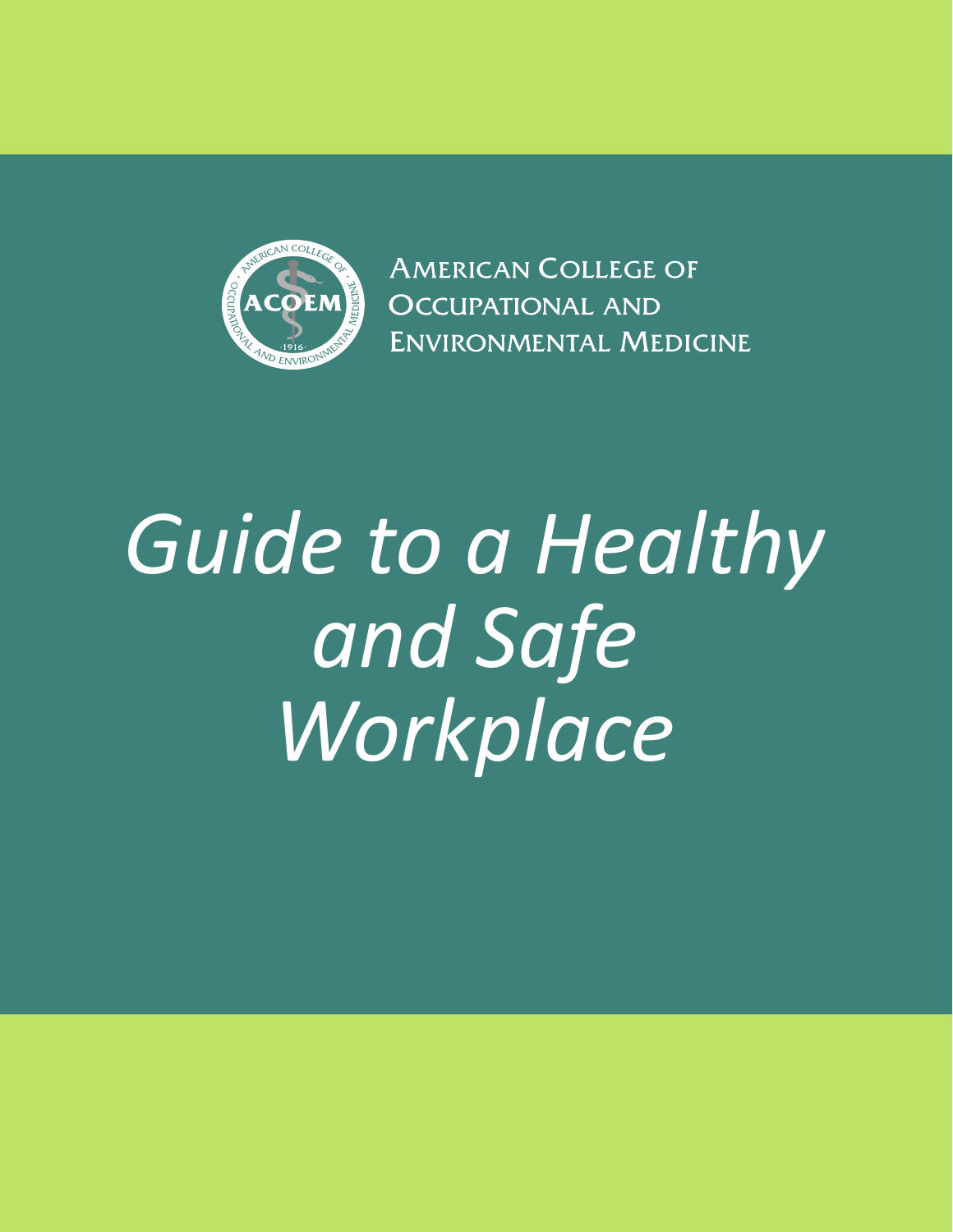

**AMERICAN COLLEGE OF OCCUPATIONAL AND ENVIRONMENTAL MEDICINE** 

# *Guide to a Healthy and Safe Workplace*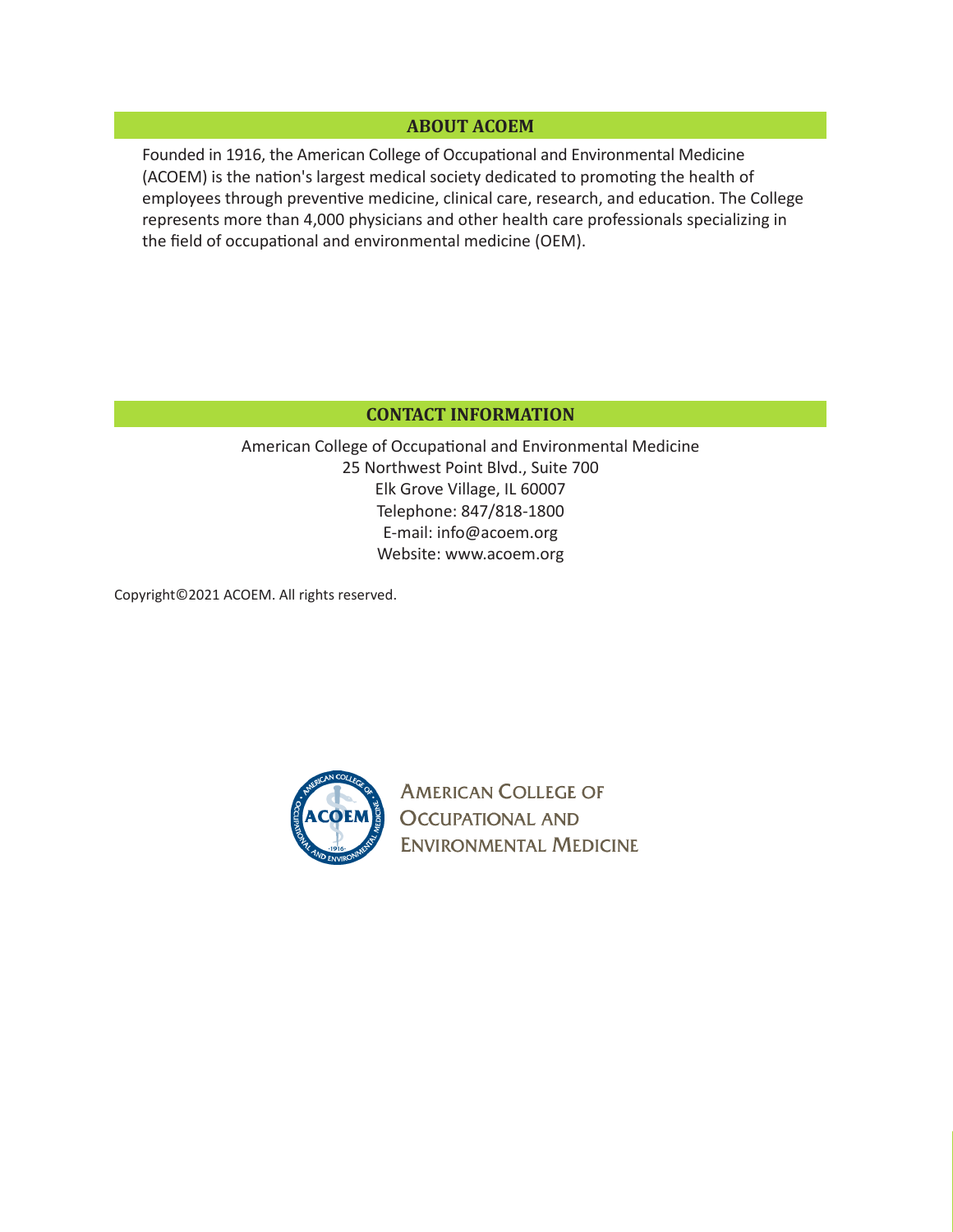# **ABOUT ACOEM**

Founded in 1916, the American College of Occupational and Environmental Medicine (ACOEM) is the nation's largest medical society dedicated to promoting the health of employees through preventive medicine, clinical care, research, and education. The College represents more than 4,000 physicians and other health care professionals specializing in the field of occupational and environmental medicine (OEM).

# **CONTACT INFORMATION**

American College of Occupational and Environmental Medicine 25 Northwest Point Blvd., Suite 700 Elk Grove Village, IL 60007 Telephone: 847/818-1800 E-mail: info@acoem.org Website: www.acoem.org

Copyright©2021 ACOEM. All rights reserved.



**AMERICAN COLLEGE OF OCCUPATIONAL AND ENVIRONMENTAL MEDICINE**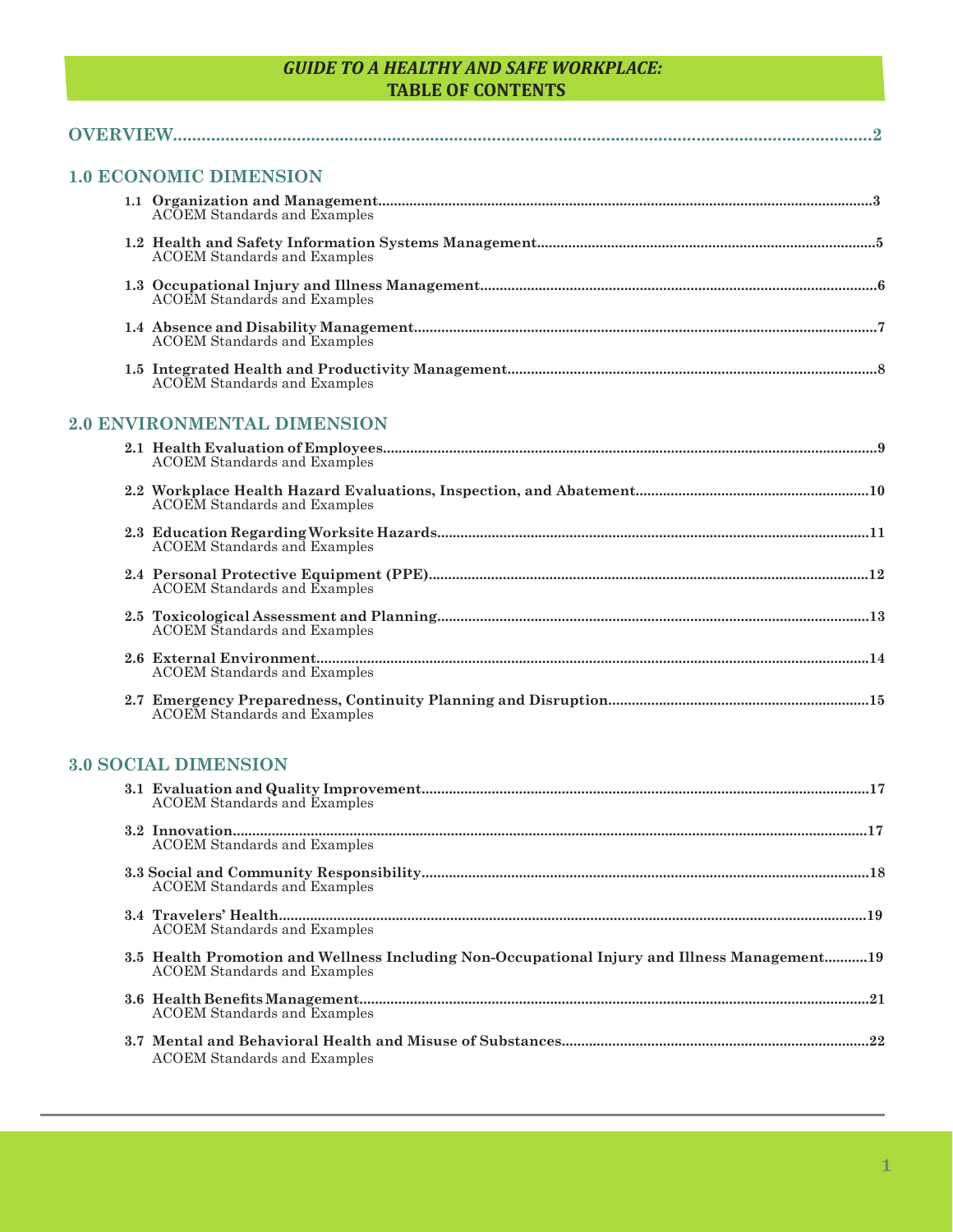# *GUIDE TO A HEALTHY AND SAFE WORKPLACE:* **TABLE OF CONTENTS**

| <b>1.0 ECONOMIC DIMENSION</b>                                                                                                       |  |  |  |
|-------------------------------------------------------------------------------------------------------------------------------------|--|--|--|
| <b>ACOEM</b> Standards and Examples                                                                                                 |  |  |  |
| <b>ACOEM Standards and Examples</b>                                                                                                 |  |  |  |
| <b>ACOEM</b> Standards and Examples                                                                                                 |  |  |  |
| <b>ACOEM</b> Standards and Examples                                                                                                 |  |  |  |
| <b>ACOEM</b> Standards and Examples                                                                                                 |  |  |  |
| <b>2.0 ENVIRONMENTAL DIMENSION</b>                                                                                                  |  |  |  |
| <b>ACOEM</b> Standards and Examples                                                                                                 |  |  |  |
| <b>ACOEM Standards and Examples</b>                                                                                                 |  |  |  |
| <b>ACOEM</b> Standards and Examples                                                                                                 |  |  |  |
| <b>ACOEM</b> Standards and Examples                                                                                                 |  |  |  |
| <b>ACOEM</b> Standards and Examples                                                                                                 |  |  |  |
| <b>ACOEM Standards and Examples</b>                                                                                                 |  |  |  |
| <b>ACOEM</b> Standards and Examples                                                                                                 |  |  |  |
| 3.0 SOCIAL DIMENSION                                                                                                                |  |  |  |
| <b>ACOEM</b> Standards and Examples                                                                                                 |  |  |  |
| <b>ACOEM Standards and Examples</b>                                                                                                 |  |  |  |
| <b>ACOEM Standards and Examples</b>                                                                                                 |  |  |  |
| <b>ACOEM Standards and Examples</b>                                                                                                 |  |  |  |
| 3.5 Health Promotion and Wellness Including Non-Occupational Injury and Illness Management19<br><b>ACOEM Standards and Examples</b> |  |  |  |

| ACOEM Standards and Examples |  |
|------------------------------|--|
|                              |  |
| ACOEM Standards and Examples |  |

**3.6 Health Benefits Management...................................................................................................................................21**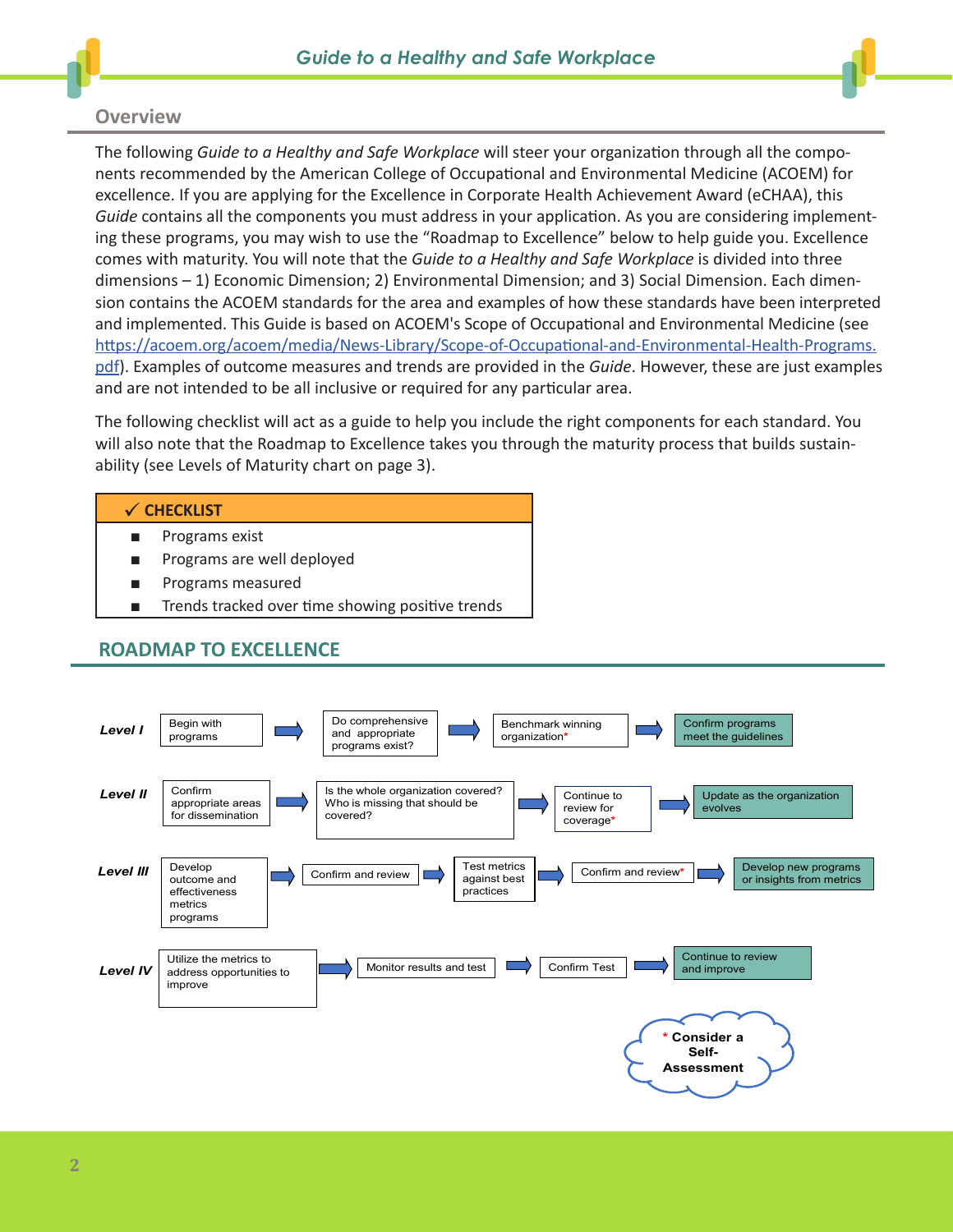

# **Overview**

The following *Guide to a Healthy and Safe Workplace* will steer your organization through all the components recommended by the American College of Occupational and Environmental Medicine (ACOEM) for excellence. If you are applying for the Excellence in Corporate Health Achievement Award (eCHAA), this *Guide* contains all the components you must address in your application. As you are considering implementing these programs, you may wish to use the "Roadmap to Excellence" below to help guide you. Excellence comes with maturity. You will note that the *Guide to a Healthy and Safe Workplace* is divided into three dimensions – 1) Economic Dimension; 2) Environmental Dimension; and 3) Social Dimension. Each dimension contains the ACOEM standards for the area and examples of how these standards have been interpreted and implemented. This Guide is based on ACOEM's Scope of Occupational and Environmental Medicine (see [https://acoem.org/acoem/media/News-Library/Scope-of-Occupational-and-Environmental-Health-Programs.](https://acoem.org/acoem/media/News-Library/Scope-of-Occupational-and-Environmental-Health-Programs.pdf) [pdf](https://acoem.org/acoem/media/News-Library/Scope-of-Occupational-and-Environmental-Health-Programs.pdf)). Examples of outcome measures and trends are provided in the *Guide*. However, these are just examples and are not intended to be all inclusive or required for any particular area.

The following checklist will act as a guide to help you include the right components for each standard. You will also note that the Roadmap to Excellence takes you through the maturity process that builds sustainability (see Levels of Maturity chart on page 3).

## **CHECKLIST**

- Programs exist
- Programs are well deployed
- Programs measured
- Trends tracked over time showing positive trends

# **ROADMAP TO EXCELLENCE**

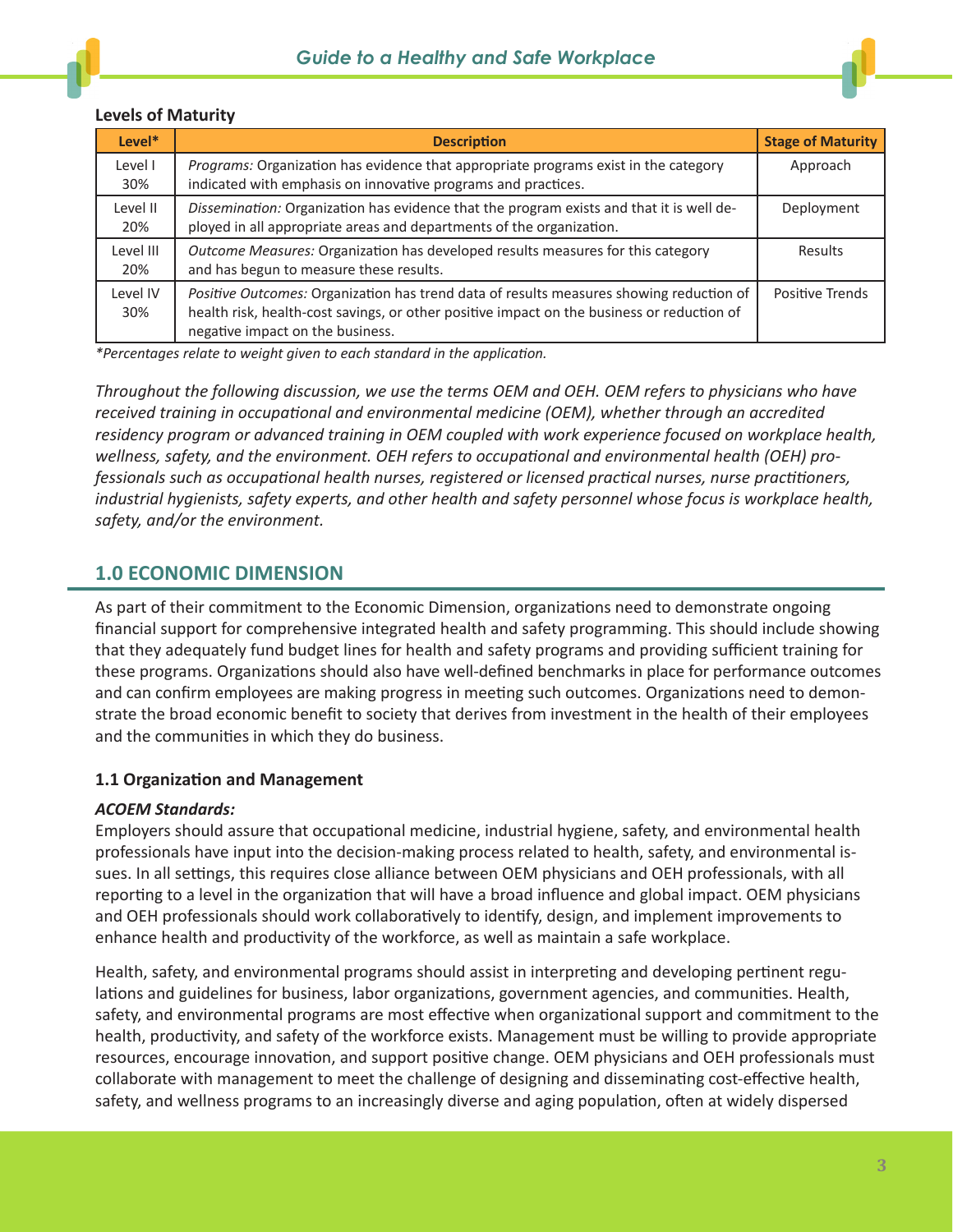

| $Level*$         | <b>Description</b>                                                                                                                                                                                                        | <b>Stage of Maturity</b> |
|------------------|---------------------------------------------------------------------------------------------------------------------------------------------------------------------------------------------------------------------------|--------------------------|
| Level I<br>30%   | Programs: Organization has evidence that appropriate programs exist in the category<br>indicated with emphasis on innovative programs and practices.                                                                      | Approach                 |
| Level II<br>20%  | Dissemination: Organization has evidence that the program exists and that it is well de-<br>ployed in all appropriate areas and departments of the organization.                                                          | Deployment               |
| Level III<br>20% | Outcome Measures: Organization has developed results measures for this category<br>and has begun to measure these results.                                                                                                | <b>Results</b>           |
| Level IV<br>30%  | Positive Outcomes: Organization has trend data of results measures showing reduction of<br>health risk, health-cost savings, or other positive impact on the business or reduction of<br>negative impact on the business. | Positive Trends          |

*\*Percentages relate to weight given to each standard in the application.*

*Throughout the following discussion, we use the terms OEM and OEH. OEM refers to physicians who have received training in occupational and environmental medicine (OEM), whether through an accredited residency program or advanced training in OEM coupled with work experience focused on workplace health, wellness, safety, and the environment. OEH refers to occupational and environmental health (OEH) professionals such as occupational health nurses, registered or licensed practical nurses, nurse practitioners, industrial hygienists, safety experts, and other health and safety personnel whose focus is workplace health, safety, and/or the environment.*

# **1.0 ECONOMIC DIMENSION**

As part of their commitment to the Economic Dimension, organizations need to demonstrate ongoing financial support for comprehensive integrated health and safety programming. This should include showing that they adequately fund budget lines for health and safety programs and providing sufficient training for these programs. Organizations should also have well-defined benchmarks in place for performance outcomes and can confirm employees are making progress in meeting such outcomes. Organizations need to demonstrate the broad economic benefit to society that derives from investment in the health of their employees and the communities in which they do business.

# **1.1 Organization and Management**

# *ACOEM Standards:*

Employers should assure that occupational medicine, industrial hygiene, safety, and environmental health professionals have input into the decision-making process related to health, safety, and environmental issues. In all settings, this requires close alliance between OEM physicians and OEH professionals, with all reporting to a level in the organization that will have a broad influence and global impact. OEM physicians and OEH professionals should work collaboratively to identify, design, and implement improvements to enhance health and productivity of the workforce, as well as maintain a safe workplace.

Health, safety, and environmental programs should assist in interpreting and developing pertinent regulations and guidelines for business, labor organizations, government agencies, and communities. Health, safety, and environmental programs are most effective when organizational support and commitment to the health, productivity, and safety of the workforce exists. Management must be willing to provide appropriate resources, encourage innovation, and support positive change. OEM physicians and OEH professionals must collaborate with management to meet the challenge of designing and disseminating cost-effective health, safety, and wellness programs to an increasingly diverse and aging population, often at widely dispersed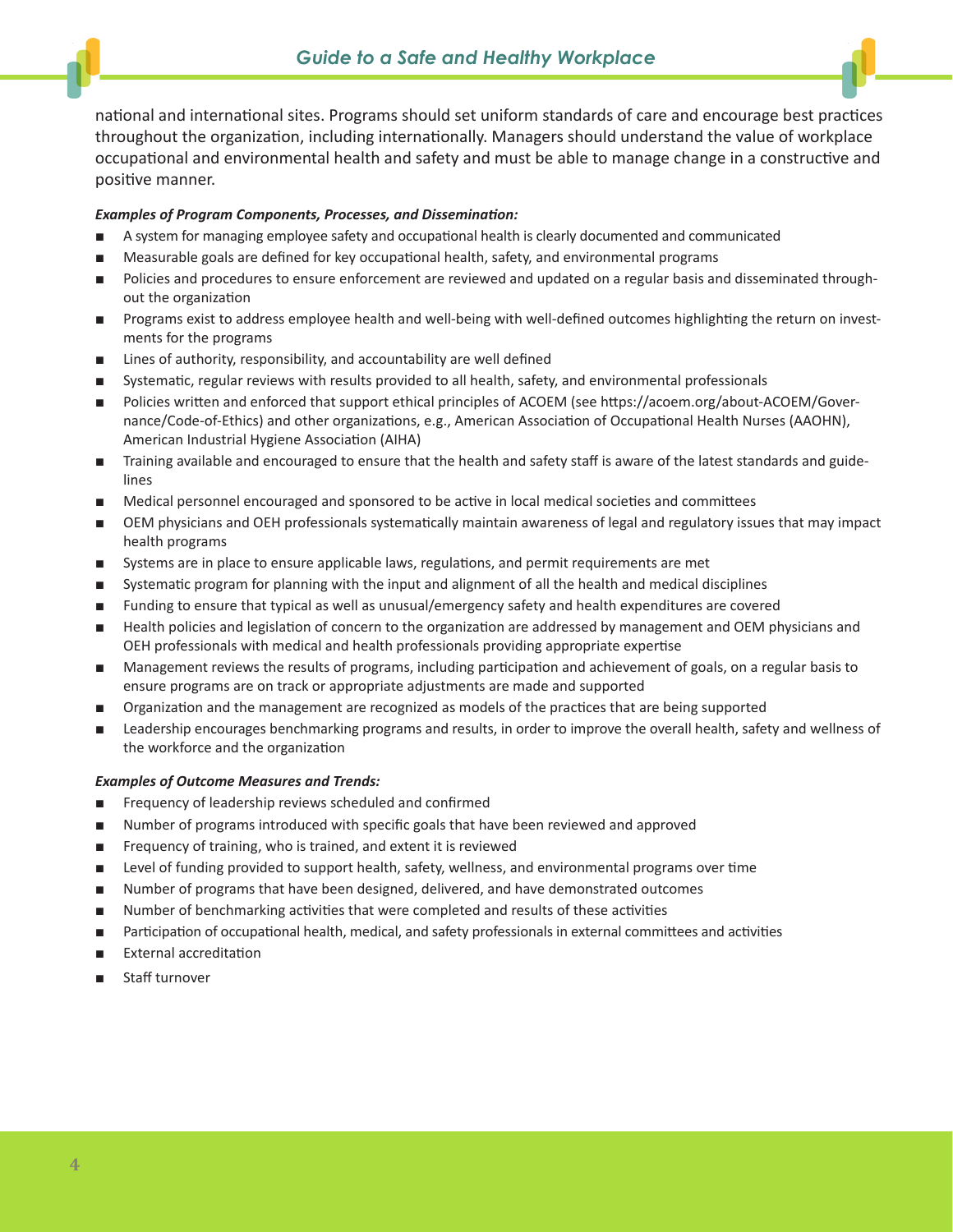national and international sites. Programs should set uniform standards of care and encourage best practices throughout the organization, including internationally. Managers should understand the value of workplace occupational and environmental health and safety and must be able to manage change in a constructive and positive manner.

## *Examples of Program Components, Processes, and Dissemination:*

- A system for managing employee safety and occupational health is clearly documented and communicated
- Measurable goals are defined for key occupational health, safety, and environmental programs
- Policies and procedures to ensure enforcement are reviewed and updated on a regular basis and disseminated throughout the organization
- Programs exist to address employee health and well-being with well-defined outcomes highlighting the return on investments for the programs
- Lines of authority, responsibility, and accountability are well defined
- Systematic, regular reviews with results provided to all health, safety, and environmental professionals
- Policies written and enforced that support ethical principles of ACOEM (see [https://acoem.org/about-ACOEM/Gover](https://acoem.org/about-ACOEM/Governance/Code-of-Ethics)[nance/Code-of-Ethics](https://acoem.org/about-ACOEM/Governance/Code-of-Ethics)) and other organizations, e.g., American Association of Occupational Health Nurses (AAOHN), American Industrial Hygiene Association (AIHA)
- Training available and encouraged to ensure that the health and safety staff is aware of the latest standards and guidelines
- Medical personnel encouraged and sponsored to be active in local medical societies and committees
- OEM physicians and OEH professionals systematically maintain awareness of legal and regulatory issues that may impact health programs
- Systems are in place to ensure applicable laws, regulations, and permit requirements are met
- Systematic program for planning with the input and alignment of all the health and medical disciplines
- Funding to ensure that typical as well as unusual/emergency safety and health expenditures are covered
- Health policies and legislation of concern to the organization are addressed by management and OEM physicians and OEH professionals with medical and health professionals providing appropriate expertise
- Management reviews the results of programs, including participation and achievement of goals, on a regular basis to ensure programs are on track or appropriate adjustments are made and supported
- Organization and the management are recognized as models of the practices that are being supported
- Leadership encourages benchmarking programs and results, in order to improve the overall health, safety and wellness of the workforce and the organization

- Frequency of leadership reviews scheduled and confirmed
- Number of programs introduced with specific goals that have been reviewed and approved
- Frequency of training, who is trained, and extent it is reviewed
- Level of funding provided to support health, safety, wellness, and environmental programs over time
- Number of programs that have been designed, delivered, and have demonstrated outcomes
- Number of benchmarking activities that were completed and results of these activities
- Participation of occupational health, medical, and safety professionals in external committees and activities
- External accreditation
- Staff turnover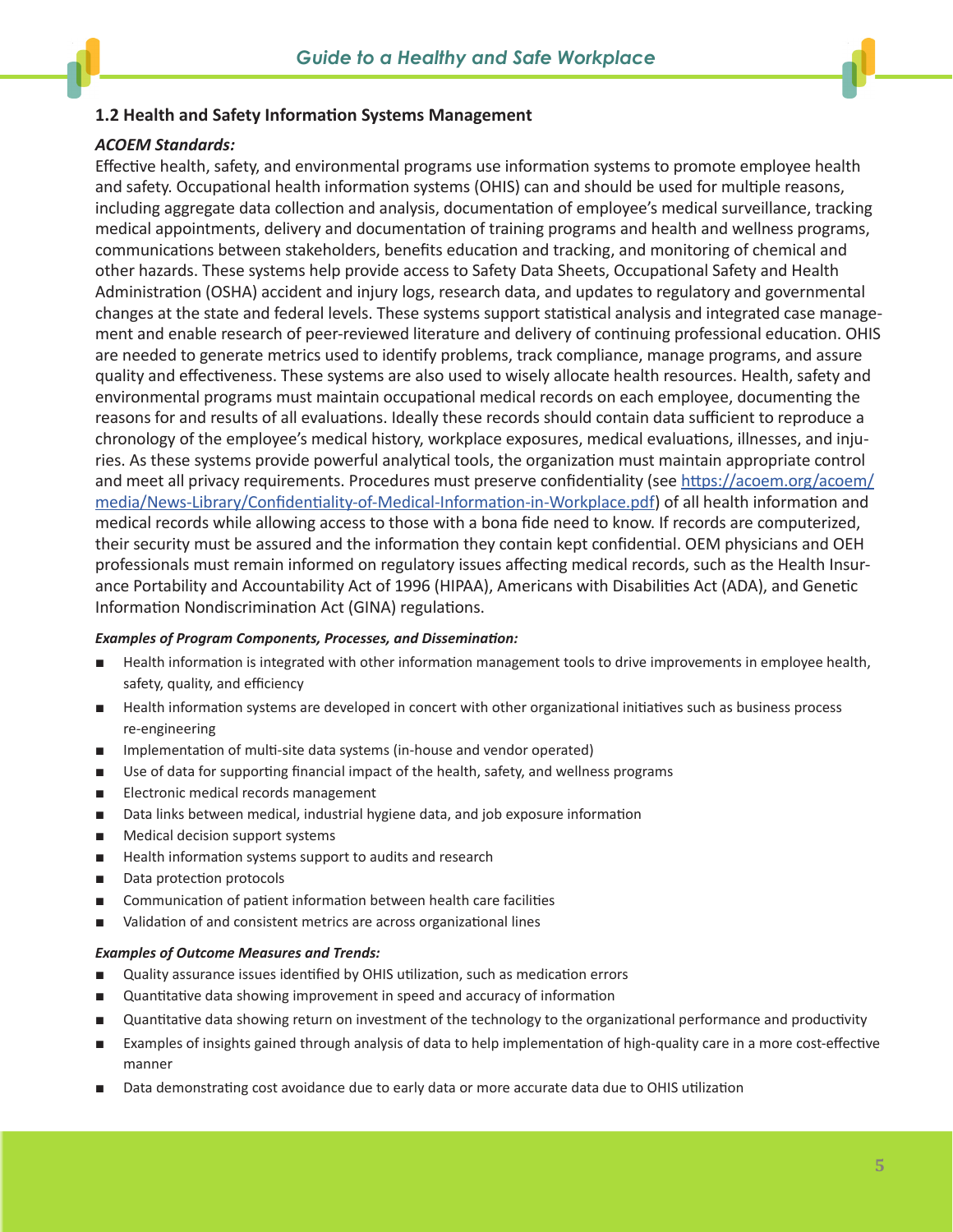

# **1.2 Health and Safety Information Systems Management**

## *ACOEM Standards:*

Effective health, safety, and environmental programs use information systems to promote employee health and safety. Occupational health information systems (OHIS) can and should be used for multiple reasons, including aggregate data collection and analysis, documentation of employee's medical surveillance, tracking medical appointments, delivery and documentation of training programs and health and wellness programs, communications between stakeholders, benefits education and tracking, and monitoring of chemical and other hazards. These systems help provide access to Safety Data Sheets, Occupational Safety and Health Administration (OSHA) accident and injury logs, research data, and updates to regulatory and governmental changes at the state and federal levels. These systems support statistical analysis and integrated case management and enable research of peer-reviewed literature and delivery of continuing professional education. OHIS are needed to generate metrics used to identify problems, track compliance, manage programs, and assure quality and effectiveness. These systems are also used to wisely allocate health resources. Health, safety and environmental programs must maintain occupational medical records on each employee, documenting the reasons for and results of all evaluations. Ideally these records should contain data sufficient to reproduce a chronology of the employee's medical history, workplace exposures, medical evaluations, illnesses, and injuries. As these systems provide powerful analytical tools, the organization must maintain appropriate control and meet all privacy requirements. Procedures must preserve confidentiality (see [https://acoem.org/acoem/](https://acoem.org/acoem/media/News-Library/Confidentiality-of-Medical-Information-in-Workplace.pdf) [media/News-Library/Confidentiality-of-Medical-Information-in-Workplace.pdf\)](https://acoem.org/acoem/media/News-Library/Confidentiality-of-Medical-Information-in-Workplace.pdf) of all health information and medical records while allowing access to those with a bona fide need to know. If records are computerized, their security must be assured and the information they contain kept confidential. OEM physicians and OEH professionals must remain informed on regulatory issues affecting medical records, such as the Health Insurance Portability and Accountability Act of 1996 (HIPAA), Americans with Disabilities Act (ADA), and Genetic Information Nondiscrimination Act (GINA) regulations.

## *Examples of Program Components, Processes, and Dissemination:*

- Health information is integrated with other information management tools to drive improvements in employee health, safety, quality, and efficiency
- Health information systems are developed in concert with other organizational initiatives such as business process re-engineering
- Implementation of multi-site data systems (in-house and vendor operated)
- Use of data for supporting financial impact of the health, safety, and wellness programs
- Electronic medical records management
- Data links between medical, industrial hygiene data, and job exposure information
- Medical decision support systems
- Health information systems support to audits and research
- Data protection protocols
- Communication of patient information between health care facilities
- Validation of and consistent metrics are across organizational lines

- Quality assurance issues identified by OHIS utilization, such as medication errors
- Quantitative data showing improvement in speed and accuracy of information
- Quantitative data showing return on investment of the technology to the organizational performance and productivity
- Examples of insights gained through analysis of data to help implementation of high-quality care in a more cost-effective manner
- Data demonstrating cost avoidance due to early data or more accurate data due to OHIS utilization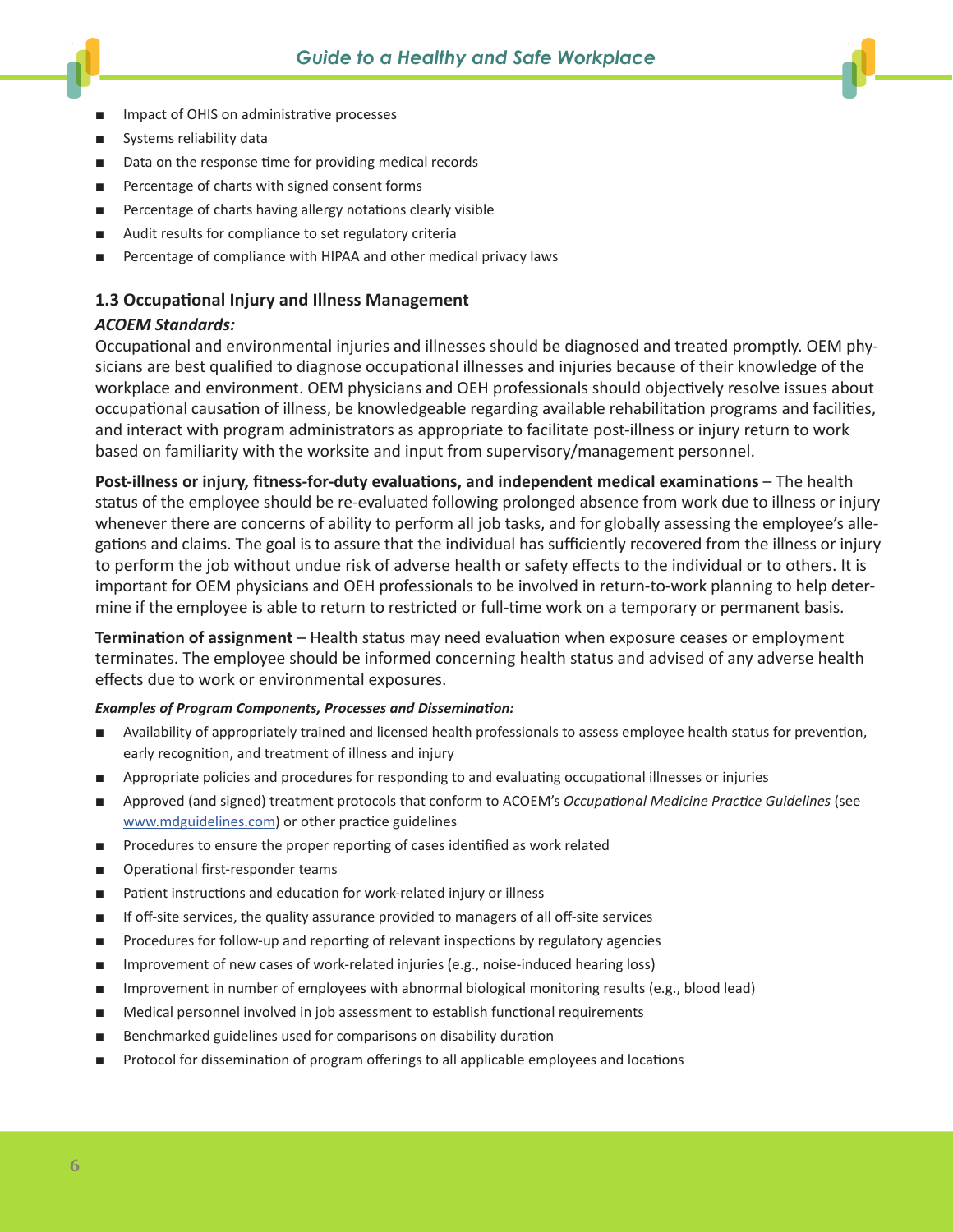- Impact of OHIS on administrative processes
- Systems reliability data
- Data on the response time for providing medical records
- Percentage of charts with signed consent forms
- Percentage of charts having allergy notations clearly visible
- Audit results for compliance to set regulatory criteria
- Percentage of compliance with HIPAA and other medical privacy laws

# **1.3 Occupational Injury and Illness Management**

## *ACOEM Standards:*

Occupational and environmental injuries and illnesses should be diagnosed and treated promptly. OEM physicians are best qualified to diagnose occupational illnesses and injuries because of their knowledge of the workplace and environment. OEM physicians and OEH professionals should objectively resolve issues about occupational causation of illness, be knowledgeable regarding available rehabilitation programs and facilities, and interact with program administrators as appropriate to facilitate post-illness or injury return to work based on familiarity with the worksite and input from supervisory/management personnel.

**Post-illness or injury, fitness-for-duty evaluations, and independent medical examinations – The health** status of the employee should be re-evaluated following prolonged absence from work due to illness or injury whenever there are concerns of ability to perform all job tasks, and for globally assessing the employee's allegations and claims. The goal is to assure that the individual has sufficiently recovered from the illness or injury to perform the job without undue risk of adverse health or safety effects to the individual or to others. It is important for OEM physicians and OEH professionals to be involved in return-to-work planning to help determine if the employee is able to return to restricted or full-time work on a temporary or permanent basis.

**Termination of assignment** – Health status may need evaluation when exposure ceases or employment terminates. The employee should be informed concerning health status and advised of any adverse health effects due to work or environmental exposures.

#### *Examples of Program Components, Processes and Dissemination:*

- Availability of appropriately trained and licensed health professionals to assess employee health status for prevention, early recognition, and treatment of illness and injury
- Appropriate policies and procedures for responding to and evaluating occupational illnesses or injuries
- Approved (and signed) treatment protocols that conform to ACOEM's *Occupational Medicine Practice Guidelines* (see [www.mdguidelines.com\)](http://www.mdguidelines.com) or other practice guidelines
- Procedures to ensure the proper reporting of cases identified as work related
- Operational first-responder teams
- Patient instructions and education for work-related injury or illness
- If off-site services, the quality assurance provided to managers of all off-site services
- Procedures for follow-up and reporting of relevant inspections by regulatory agencies
- Improvement of new cases of work-related injuries (e.g., noise-induced hearing loss)
- Improvement in number of employees with abnormal biological monitoring results (e.g., blood lead)
- Medical personnel involved in job assessment to establish functional requirements
- Benchmarked guidelines used for comparisons on disability duration
- Protocol for dissemination of program offerings to all applicable employees and locations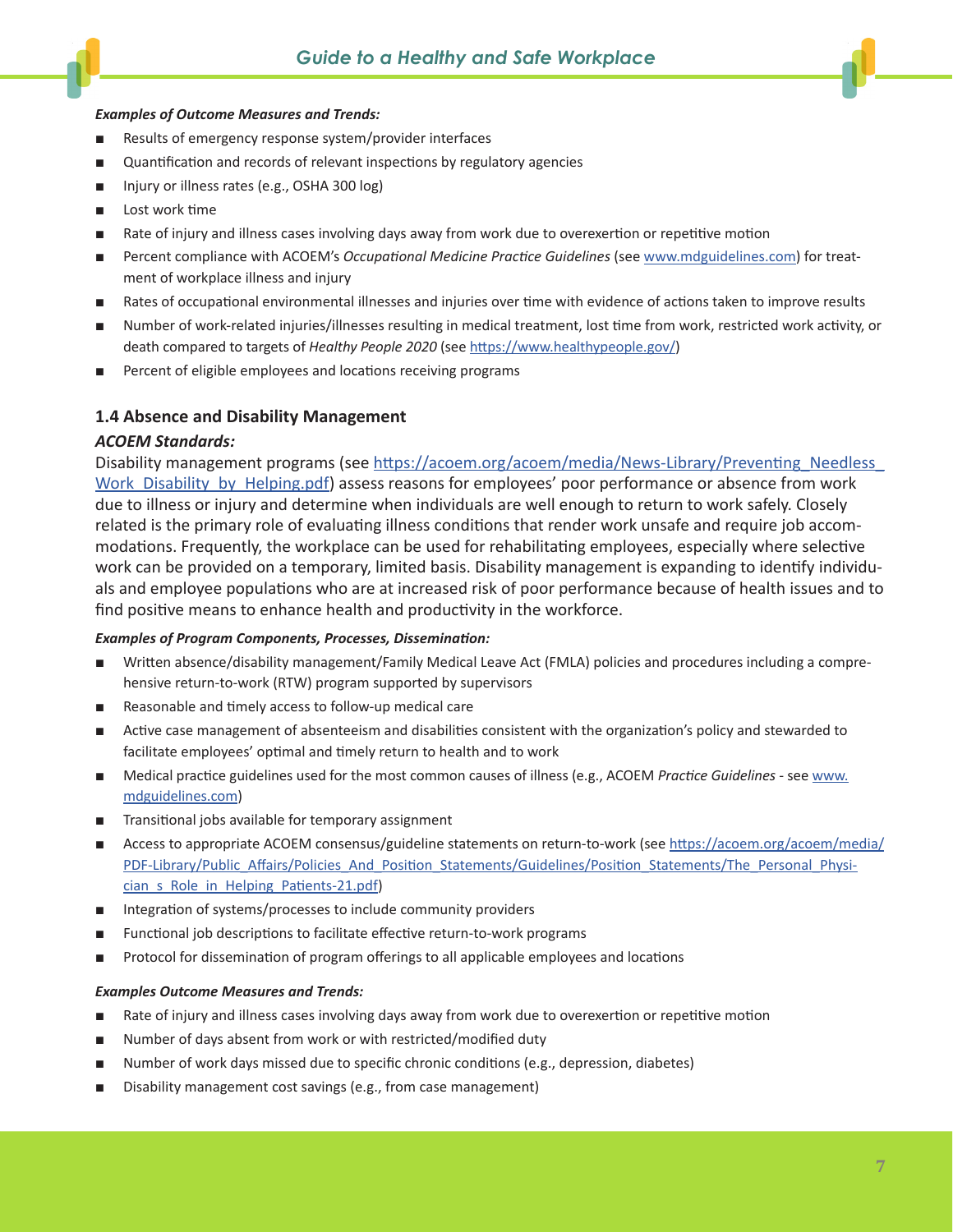#### *Examples of Outcome Measures and Trends:*

- Results of emergency response system/provider interfaces
- Quantification and records of relevant inspections by regulatory agencies
- Injury or illness rates (e.g., OSHA 300 log)
- Lost work time
- Rate of injury and illness cases involving days away from work due to overexertion or repetitive motion
- Percent compliance with ACOEM's *Occupational Medicine Practice Guidelines* (see [www.mdguidelines.com\)](http://www.mdguidelines.com) for treatment of workplace illness and injury
- Rates of occupational environmental illnesses and injuries over time with evidence of actions taken to improve results
- Number of work-related injuries/illnesses resulting in medical treatment, lost time from work, restricted work activity, or death compared to targets of *Healthy People 2020* (see <https://www.healthypeople.gov/>)
- Percent of eligible employees and locations receiving programs

## **1.4 Absence and Disability Management**

#### *ACOEM Standards:*

Disability management programs (see [https://acoem.org/acoem/media/News-Library/Preventing\\_Needless\\_](https://acoem.org/acoem/media/News-Library/Preventing_Needless_Work_Disability_by_Helping.pdf) [Work\\_Disability\\_by\\_Helping.pdf\)](https://acoem.org/acoem/media/News-Library/Preventing_Needless_Work_Disability_by_Helping.pdf) assess reasons for employees' poor performance or absence from work due to illness or injury and determine when individuals are well enough to return to work safely. Closely related is the primary role of evaluating illness conditions that render work unsafe and require job accommodations. Frequently, the workplace can be used for rehabilitating employees, especially where selective work can be provided on a temporary, limited basis. Disability management is expanding to identify individuals and employee populations who are at increased risk of poor performance because of health issues and to find positive means to enhance health and productivity in the workforce.

#### *Examples of Program Components, Processes, Dissemination:*

- Written absence/disability management/Family Medical Leave Act (FMLA) policies and procedures including a comprehensive return-to-work (RTW) program supported by supervisors
- Reasonable and timely access to follow-up medical care
- Active case management of absenteeism and disabilities consistent with the organization's policy and stewarded to facilitate employees' optimal and timely return to health and to work
- Medical practice guidelines used for the most common causes of illness (e.g., ACOEM *Practice Guidelines -* see [www.](http://www.mdguidelines.com) [mdguidelines.com\)](http://www.mdguidelines.com)
- Transitional jobs available for temporary assignment
- Access to appropriate ACOEM consensus/guideline statements on return-to-work (see [https://acoem.org/acoem/media/](https://acoem.org/acoem/media/PDF-Library/Public_Affairs/Policies_And_Position_Statements/Guidelines/Position_Statements/The_Personal_Physician_s_Role_in_Helping_Patients-21.pdf) [PDF-Library/Public\\_Affairs/Policies\\_And\\_Position\\_Statements/Guidelines/Position\\_Statements/The\\_Personal\\_Physi](https://acoem.org/acoem/media/PDF-Library/Public_Affairs/Policies_And_Position_Statements/Guidelines/Position_Statements/The_Personal_Physician_s_Role_in_Helping_Patients-21.pdf)cian s Role in Helping Patients-21.pdf)
- Integration of systems/processes to include community providers
- Functional job descriptions to facilitate effective return-to-work programs
- Protocol for dissemination of program offerings to all applicable employees and locations

- Rate of injury and illness cases involving days away from work due to overexertion or repetitive motion
- Number of days absent from work or with restricted/modified duty
- Number of work days missed due to specific chronic conditions (e.g., depression, diabetes)
- Disability management cost savings (e.g., from case management)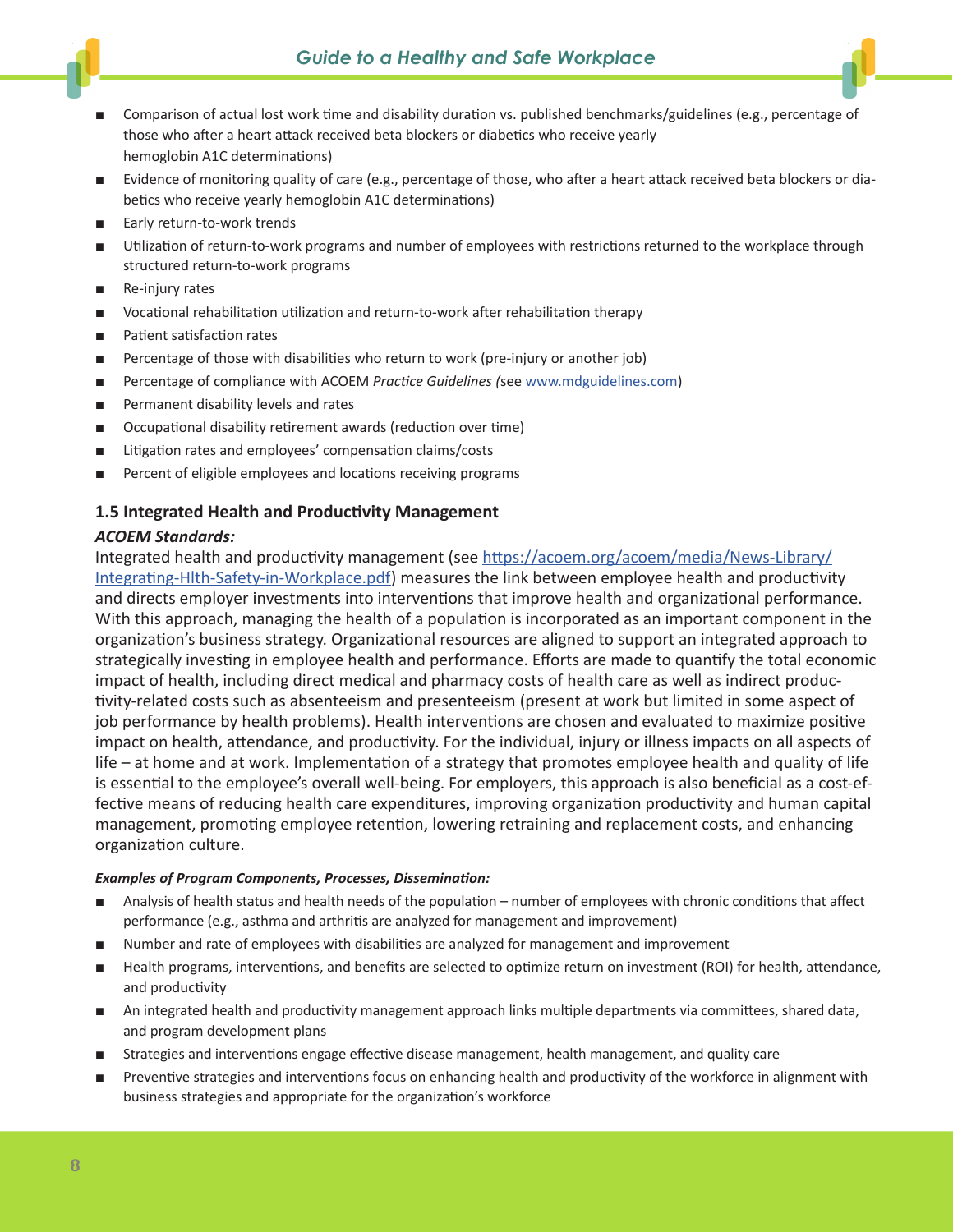- Comparison of actual lost work time and disability duration vs. published benchmarks/guidelines (e.g., percentage of those who after a heart attack received beta blockers or diabetics who receive yearly hemoglobin A1C determinations)
- Evidence of monitoring quality of care (e.g., percentage of those, who after a heart attack received beta blockers or diabetics who receive yearly hemoglobin A1C determinations)
- Early return-to-work trends
- Utilization of return-to-work programs and number of employees with restrictions returned to the workplace through structured return-to-work programs
- Re-injury rates
- Vocational rehabilitation utilization and return-to-work after rehabilitation therapy
- Patient satisfaction rates
- Percentage of those with disabilities who return to work (pre-injury or another job)
- Percentage of compliance with ACOEM *Practice Guidelines* (see [www.mdguidelines.com\)](http://www.mdguidelines.com)
- Permanent disability levels and rates
- Occupational disability retirement awards (reduction over time)
- Litigation rates and employees' compensation claims/costs
- Percent of eligible employees and locations receiving programs

## **1.5 Integrated Health and Productivity Management**

## *ACOEM Standards:*

Integrated health and productivity management (see [https://acoem.org/acoem/media/News-Library/](https://acoem.org/acoem/media/News-Library/Integrating-Hlth-Safety-in-Workplace.pdf) [Integrating-Hlth-Safety-in-Workplace.pdf](https://acoem.org/acoem/media/News-Library/Integrating-Hlth-Safety-in-Workplace.pdf)) measures the link between employee health and productivity and directs employer investments into interventions that improve health and organizational performance. With this approach, managing the health of a population is incorporated as an important component in the organization's business strategy. Organizational resources are aligned to support an integrated approach to strategically investing in employee health and performance. Efforts are made to quantify the total economic impact of health, including direct medical and pharmacy costs of health care as well as indirect productivity-related costs such as absenteeism and presenteeism (present at work but limited in some aspect of job performance by health problems). Health interventions are chosen and evaluated to maximize positive impact on health, attendance, and productivity. For the individual, injury or illness impacts on all aspects of life – at home and at work. Implementation of a strategy that promotes employee health and quality of life is essential to the employee's overall well-being. For employers, this approach is also beneficial as a cost-effective means of reducing health care expenditures, improving organization productivity and human capital management, promoting employee retention, lowering retraining and replacement costs, and enhancing organization culture.

#### *Examples of Program Components, Processes, Dissemination:*

- Analysis of health status and health needs of the population number of employees with chronic conditions that affect performance (e.g., asthma and arthritis are analyzed for management and improvement)
- Number and rate of employees with disabilities are analyzed for management and improvement
- Health programs, interventions, and benefits are selected to optimize return on investment (ROI) for health, attendance, and productivity
- An integrated health and productivity management approach links multiple departments via committees, shared data, and program development plans
- Strategies and interventions engage effective disease management, health management, and quality care
- Preventive strategies and interventions focus on enhancing health and productivity of the workforce in alignment with business strategies and appropriate for the organization's workforce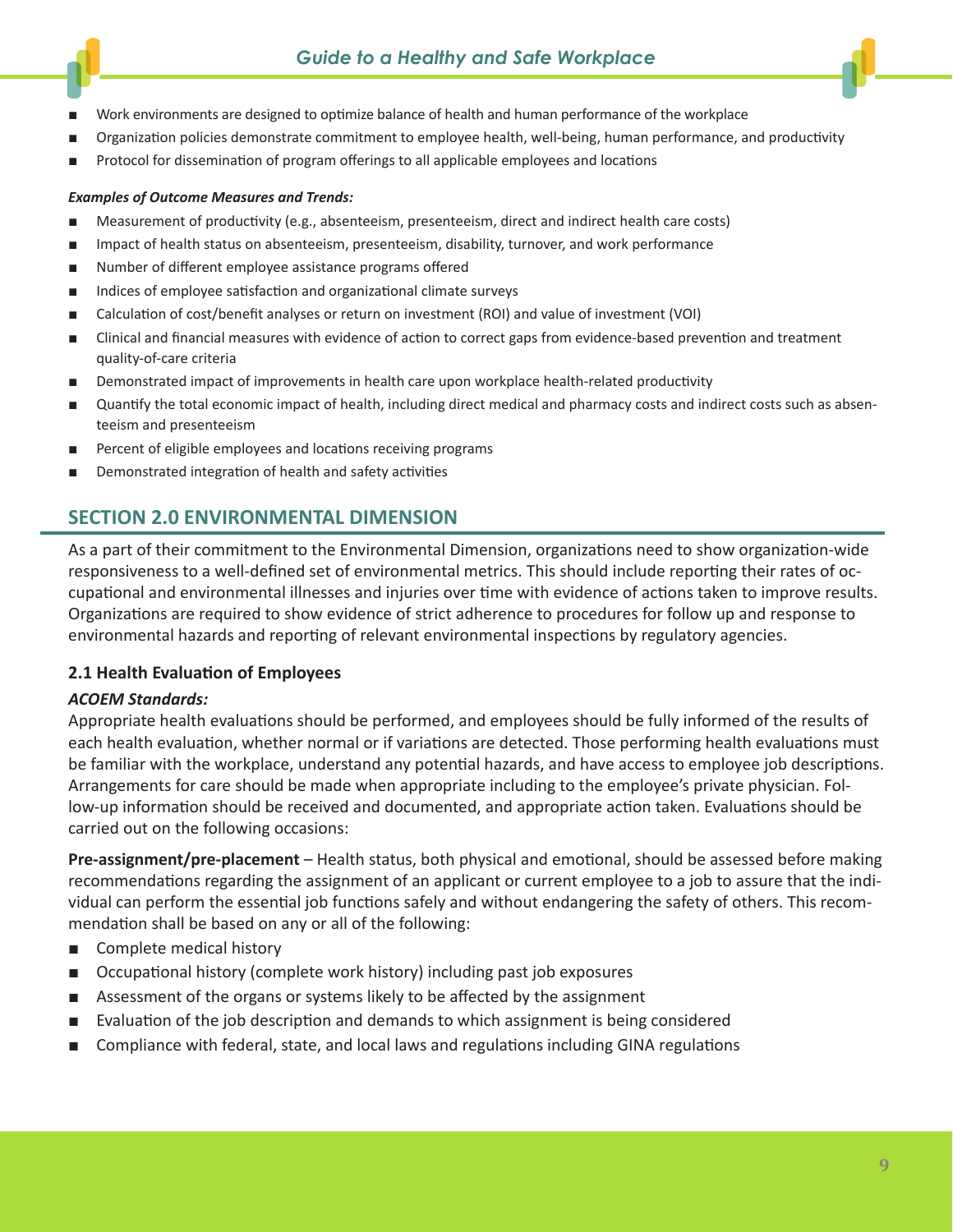- Work environments are designed to optimize balance of health and human performance of the workplace
- Organization policies demonstrate commitment to employee health, well-being, human performance, and productivity
- Protocol for dissemination of program offerings to all applicable employees and locations

## *Examples of Outcome Measures and Trends:*

- Measurement of productivity (e.g., absenteeism, presenteeism, direct and indirect health care costs)
- Impact of health status on absenteeism, presenteeism, disability, turnover, and work performance
- Number of different employee assistance programs offered
- Indices of employee satisfaction and organizational climate surveys
- Calculation of cost/benefit analyses or return on investment (ROI) and value of investment (VOI)
- Clinical and financial measures with evidence of action to correct gaps from evidence-based prevention and treatment quality-of-care criteria
- Demonstrated impact of improvements in health care upon workplace health-related productivity
- Quantify the total economic impact of health, including direct medical and pharmacy costs and indirect costs such as absenteeism and presenteeism
- Percent of eligible employees and locations receiving programs
- Demonstrated integration of health and safety activities

# **SECTION 2.0 ENVIRONMENTAL DIMENSION**

As a part of their commitment to the Environmental Dimension, organizations need to show organization-wide responsiveness to a well-defined set of environmental metrics. This should include reporting their rates of occupational and environmental illnesses and injuries over time with evidence of actions taken to improve results. Organizations are required to show evidence of strict adherence to procedures for follow up and response to environmental hazards and reporting of relevant environmental inspections by regulatory agencies.

## **2.1 Health Evaluation of Employees**

## *ACOEM Standards:*

Appropriate health evaluations should be performed, and employees should be fully informed of the results of each health evaluation, whether normal or if variations are detected. Those performing health evaluations must be familiar with the workplace, understand any potential hazards, and have access to employee job descriptions. Arrangements for care should be made when appropriate including to the employee's private physician. Follow-up information should be received and documented, and appropriate action taken. Evaluations should be carried out on the following occasions:

**Pre-assignment/pre-placement** – Health status, both physical and emotional, should be assessed before making recommendations regarding the assignment of an applicant or current employee to a job to assure that the individual can perform the essential job functions safely and without endangering the safety of others. This recommendation shall be based on any or all of the following:

- Complete medical history
- Occupational history (complete work history) including past job exposures
- Assessment of the organs or systems likely to be affected by the assignment
- Evaluation of the job description and demands to which assignment is being considered
- Compliance with federal, state, and local laws and regulations including GINA regulations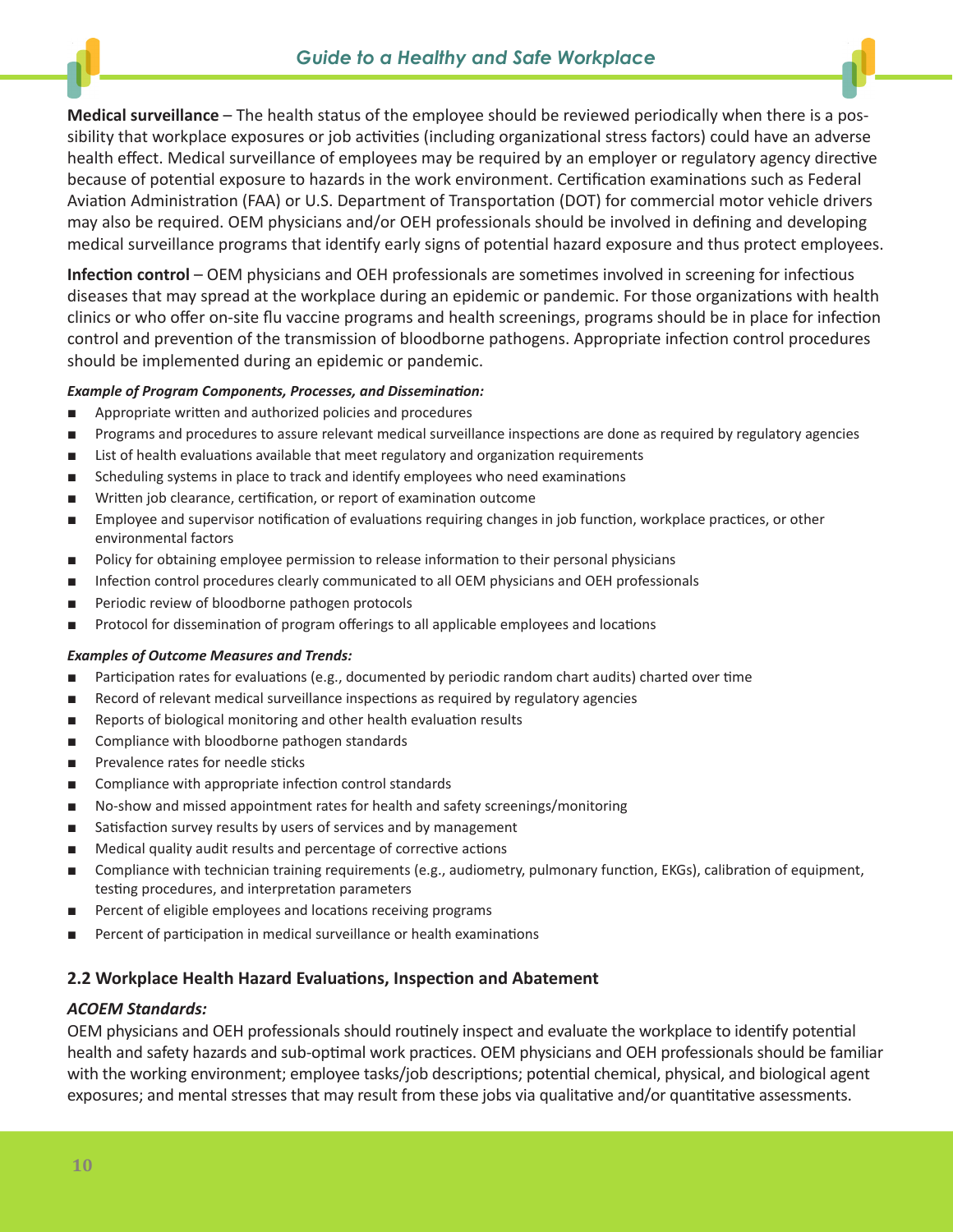

**Medical surveillance** – The health status of the employee should be reviewed periodically when there is a possibility that workplace exposures or job activities (including organizational stress factors) could have an adverse health effect. Medical surveillance of employees may be required by an employer or regulatory agency directive because of potential exposure to hazards in the work environment. Certification examinations such as Federal Aviation Administration (FAA) or U.S. Department of Transportation (DOT) for commercial motor vehicle drivers may also be required. OEM physicians and/or OEH professionals should be involved in defining and developing medical surveillance programs that identify early signs of potential hazard exposure and thus protect employees.

**Infection control** – OEM physicians and OEH professionals are sometimes involved in screening for infectious diseases that may spread at the workplace during an epidemic or pandemic. For those organizations with health clinics or who offer on-site flu vaccine programs and health screenings, programs should be in place for infection control and prevention of the transmission of bloodborne pathogens. Appropriate infection control procedures should be implemented during an epidemic or pandemic.

## *Example of Program Components, Processes, and Dissemination:*

- Appropriate written and authorized policies and procedures
- Programs and procedures to assure relevant medical surveillance inspections are done as required by regulatory agencies
- List of health evaluations available that meet regulatory and organization requirements
- Scheduling systems in place to track and identify employees who need examinations
- Written job clearance, certification, or report of examination outcome
- Employee and supervisor notification of evaluations requiring changes in job function, workplace practices, or other environmental factors
- Policy for obtaining employee permission to release information to their personal physicians
- Infection control procedures clearly communicated to all OEM physicians and OEH professionals
- Periodic review of bloodborne pathogen protocols
- Protocol for dissemination of program offerings to all applicable employees and locations

#### *Examples of Outcome Measures and Trends:*

- Participation rates for evaluations (e.g., documented by periodic random chart audits) charted over time
- Record of relevant medical surveillance inspections as required by regulatory agencies
- Reports of biological monitoring and other health evaluation results
- Compliance with bloodborne pathogen standards
- Prevalence rates for needle sticks
- Compliance with appropriate infection control standards
- No-show and missed appointment rates for health and safety screenings/monitoring
- Satisfaction survey results by users of services and by management
- Medical quality audit results and percentage of corrective actions
- Compliance with technician training requirements (e.g., audiometry, pulmonary function, EKGs), calibration of equipment, testing procedures, and interpretation parameters
- Percent of eligible employees and locations receiving programs
- Percent of participation in medical surveillance or health examinations

# **2.2 Workplace Health Hazard Evaluations, Inspection and Abatement**

## *ACOEM Standards:*

OEM physicians and OEH professionals should routinely inspect and evaluate the workplace to identify potential health and safety hazards and sub-optimal work practices. OEM physicians and OEH professionals should be familiar with the working environment; employee tasks/job descriptions; potential chemical, physical, and biological agent exposures; and mental stresses that may result from these jobs via qualitative and/or quantitative assessments.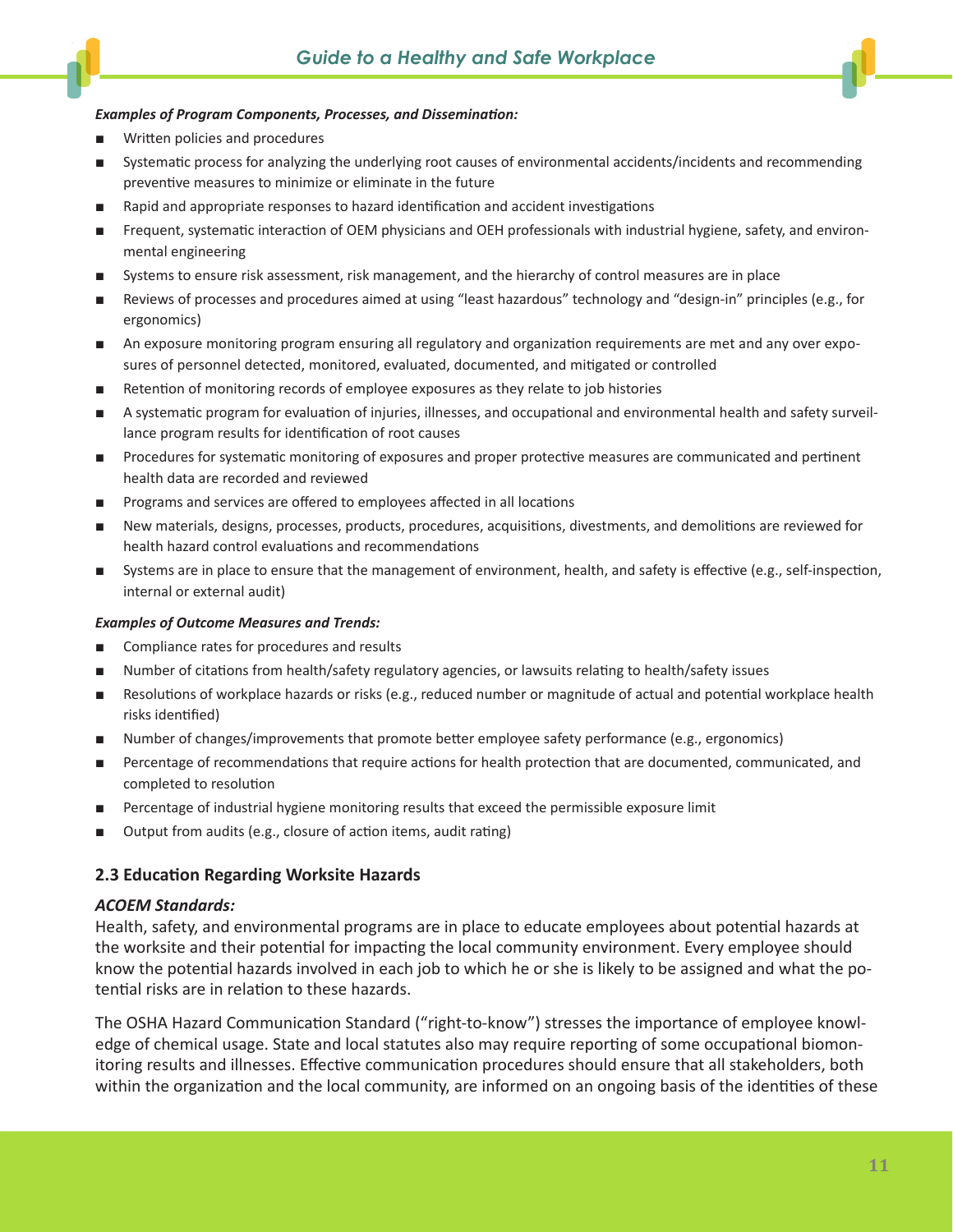#### *Examples of Program Components, Processes, and Dissemination:*

- Written policies and procedures
- Systematic process for analyzing the underlying root causes of environmental accidents/incidents and recommending preventive measures to minimize or eliminate in the future
- Rapid and appropriate responses to hazard identification and accident investigations
- Frequent, systematic interaction of OEM physicians and OEH professionals with industrial hygiene, safety, and environmental engineering
- Systems to ensure risk assessment, risk management, and the hierarchy of control measures are in place
- Reviews of processes and procedures aimed at using "least hazardous" technology and "design-in" principles (e.g., for ergonomics)
- An exposure monitoring program ensuring all regulatory and organization requirements are met and any over exposures of personnel detected, monitored, evaluated, documented, and mitigated or controlled
- Retention of monitoring records of employee exposures as they relate to job histories
- A systematic program for evaluation of injuries, illnesses, and occupational and environmental health and safety surveillance program results for identification of root causes
- Procedures for systematic monitoring of exposures and proper protective measures are communicated and pertinent health data are recorded and reviewed
- Programs and services are offered to employees affected in all locations
- New materials, designs, processes, products, procedures, acquisitions, divestments, and demolitions are reviewed for health hazard control evaluations and recommendations
- Systems are in place to ensure that the management of environment, health, and safety is effective (e.g., self-inspection, internal or external audit)

#### *Examples of Outcome Measures and Trends:*

- Compliance rates for procedures and results
- Number of citations from health/safety regulatory agencies, or lawsuits relating to health/safety issues
- Resolutions of workplace hazards or risks (e.g., reduced number or magnitude of actual and potential workplace health risks identified)
- Number of changes/improvements that promote better employee safety performance (e.g., ergonomics)
- Percentage of recommendations that require actions for health protection that are documented, communicated, and completed to resolution
- Percentage of industrial hygiene monitoring results that exceed the permissible exposure limit
- Output from audits (e.g., closure of action items, audit rating)

#### **2.3 Education Regarding Worksite Hazards**

#### *ACOEM Standards:*

Health, safety, and environmental programs are in place to educate employees about potential hazards at the worksite and their potential for impacting the local community environment. Every employee should know the potential hazards involved in each job to which he or she is likely to be assigned and what the potential risks are in relation to these hazards.

The OSHA Hazard Communication Standard ("right-to-know") stresses the importance of employee knowledge of chemical usage. State and local statutes also may require reporting of some occupational biomonitoring results and illnesses. Effective communication procedures should ensure that all stakeholders, both within the organization and the local community, are informed on an ongoing basis of the identities of these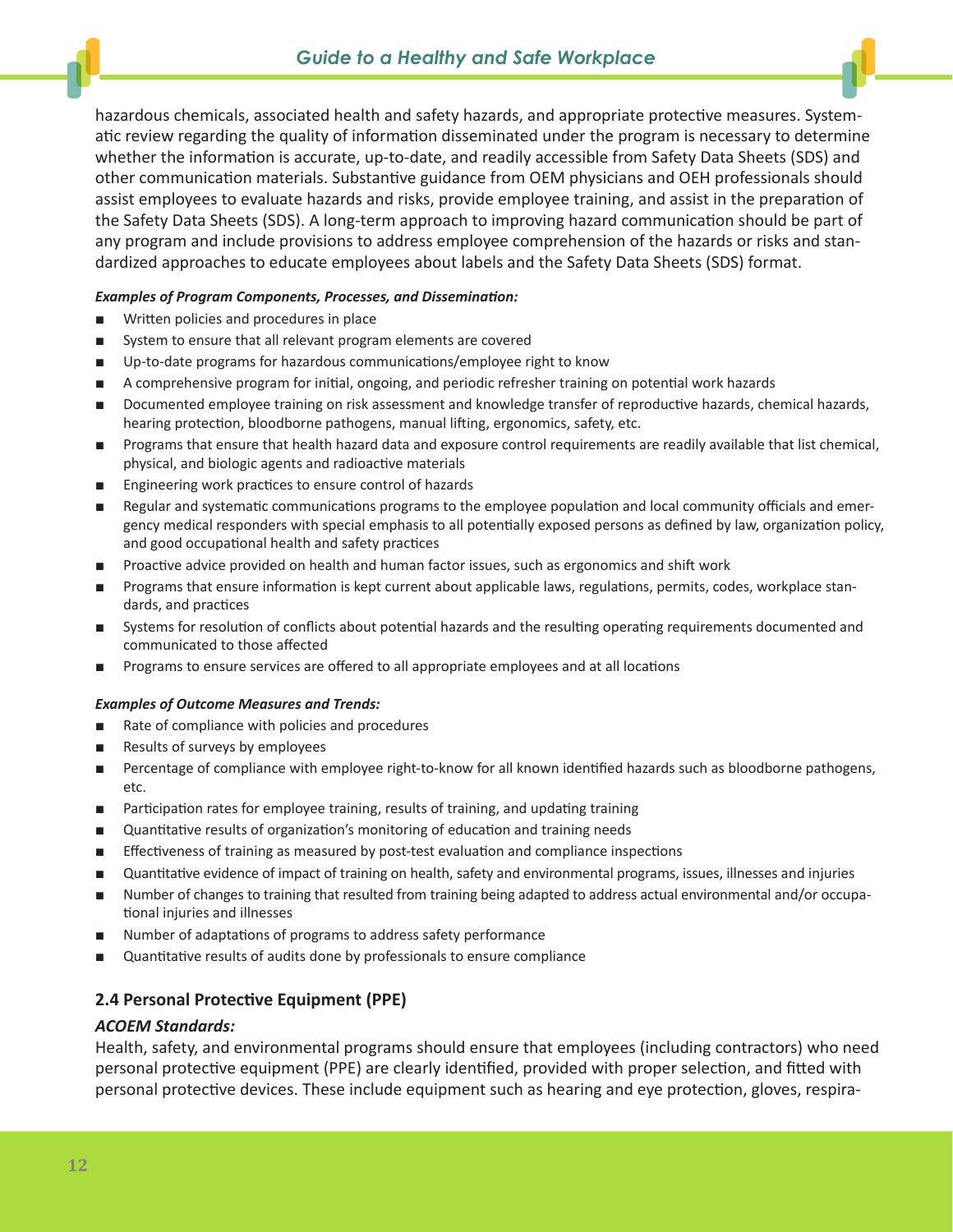hazardous chemicals, associated health and safety hazards, and appropriate protective measures. Systematic review regarding the quality of information disseminated under the program is necessary to determine whether the information is accurate, up-to-date, and readily accessible from Safety Data Sheets (SDS) and other communication materials. Substantive guidance from OEM physicians and OEH professionals should assist employees to evaluate hazards and risks, provide employee training, and assist in the preparation of the Safety Data Sheets (SDS). A long-term approach to improving hazard communication should be part of any program and include provisions to address employee comprehension of the hazards or risks and standardized approaches to educate employees about labels and the Safety Data Sheets (SDS) format.

## *Examples of Program Components, Processes, and Dissemination:*

- Written policies and procedures in place
- System to ensure that all relevant program elements are covered
- Up-to-date programs for hazardous communications/employee right to know
- A comprehensive program for initial, ongoing, and periodic refresher training on potential work hazards
- Documented employee training on risk assessment and knowledge transfer of reproductive hazards, chemical hazards, hearing protection, bloodborne pathogens, manual lifting, ergonomics, safety, etc.
- Programs that ensure that health hazard data and exposure control requirements are readily available that list chemical, physical, and biologic agents and radioactive materials
- Engineering work practices to ensure control of hazards
- Regular and systematic communications programs to the employee population and local community officials and emergency medical responders with special emphasis to all potentially exposed persons as defined by law, organization policy, and good occupational health and safety practices
- Proactive advice provided on health and human factor issues, such as ergonomics and shift work
- Programs that ensure information is kept current about applicable laws, regulations, permits, codes, workplace standards, and practices
- Systems for resolution of conflicts about potential hazards and the resulting operating requirements documented and communicated to those affected
- Programs to ensure services are offered to all appropriate employees and at all locations

#### *Examples of Outcome Measures and Trends:*

- Rate of compliance with policies and procedures
- Results of surveys by employees
- Percentage of compliance with employee right-to-know for all known identified hazards such as bloodborne pathogens, etc.
- Participation rates for employee training, results of training, and updating training
- Quantitative results of organization's monitoring of education and training needs
- Effectiveness of training as measured by post-test evaluation and compliance inspections
- Quantitative evidence of impact of training on health, safety and environmental programs, issues, illnesses and injuries
- Number of changes to training that resulted from training being adapted to address actual environmental and/or occupational injuries and illnesses
- Number of adaptations of programs to address safety performance
- Quantitative results of audits done by professionals to ensure compliance

# **2.4 Personal Protective Equipment (PPE)**

## *ACOEM Standards:*

Health, safety, and environmental programs should ensure that employees (including contractors) who need personal protective equipment (PPE) are clearly identified, provided with proper selection, and fitted with personal protective devices. These include equipment such as hearing and eye protection, gloves, respira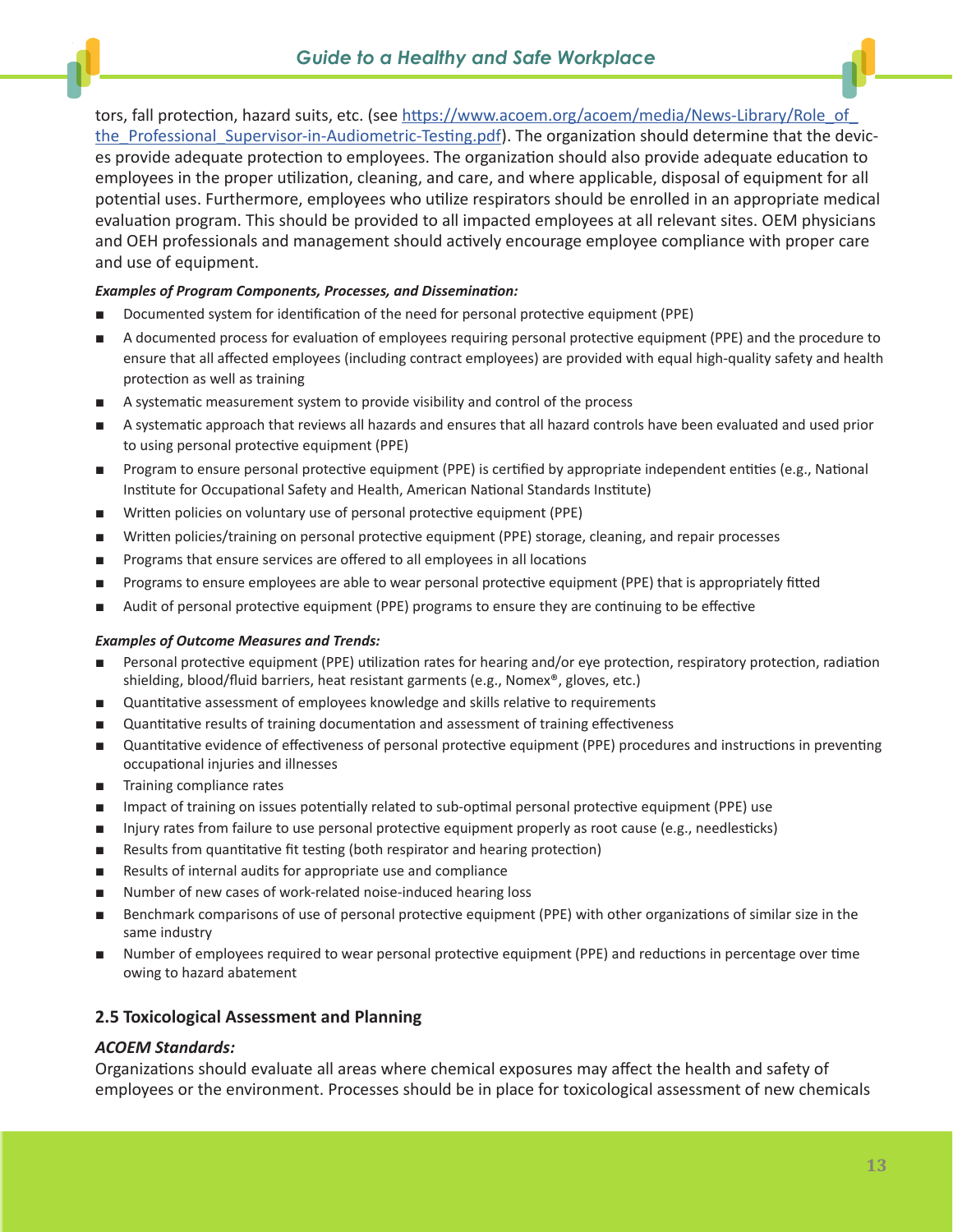tors, fall protection, hazard suits, etc. (see [https://www.acoem.org/acoem/media/News-Library/Role\\_of\\_](https://www.acoem.org/acoem/media/News-Library/Role_of_the_Professional_Supervisor-in-Audiometric-Testing.pdf) [the\\_Professional\\_Supervisor-in-Audiometric-Testing.pdf](https://www.acoem.org/acoem/media/News-Library/Role_of_the_Professional_Supervisor-in-Audiometric-Testing.pdf)). The organization should determine that the devices provide adequate protection to employees. The organization should also provide adequate education to employees in the proper utilization, cleaning, and care, and where applicable, disposal of equipment for all potential uses. Furthermore, employees who utilize respirators should be enrolled in an appropriate medical evaluation program. This should be provided to all impacted employees at all relevant sites. OEM physicians and OEH professionals and management should actively encourage employee compliance with proper care and use of equipment.

## *Examples of Program Components, Processes, and Dissemination:*

- Documented system for identification of the need for personal protective equipment (PPE)
- A documented process for evaluation of employees requiring personal protective equipment (PPE) and the procedure to ensure that all affected employees (including contract employees) are provided with equal high-quality safety and health protection as well as training
- A systematic measurement system to provide visibility and control of the process
- A systematic approach that reviews all hazards and ensures that all hazard controls have been evaluated and used prior to using personal protective equipment (PPE)
- Program to ensure personal protective equipment (PPE) is certified by appropriate independent entities (e.g., National Institute for Occupational Safety and Health, American National Standards Institute)
- Written policies on voluntary use of personal protective equipment (PPE)
- Written policies/training on personal protective equipment (PPE) storage, cleaning, and repair processes
- Programs that ensure services are offered to all employees in all locations
- Programs to ensure employees are able to wear personal protective equipment (PPE) that is appropriately fitted
- Audit of personal protective equipment (PPE) programs to ensure they are continuing to be effective

#### *Examples of Outcome Measures and Trends:*

- Personal protective equipment (PPE) utilization rates for hearing and/or eye protection, respiratory protection, radiation shielding, blood/fluid barriers, heat resistant garments (e.g., Nomex®, gloves, etc.)
- Quantitative assessment of employees knowledge and skills relative to requirements
- Quantitative results of training documentation and assessment of training effectiveness
- Quantitative evidence of effectiveness of personal protective equipment (PPE) procedures and instructions in preventing occupational injuries and illnesses
- Training compliance rates
- Impact of training on issues potentially related to sub-optimal personal protective equipment (PPE) use
- Injury rates from failure to use personal protective equipment properly as root cause (e.g., needlesticks)
- Results from quantitative fit testing (both respirator and hearing protection)
- Results of internal audits for appropriate use and compliance
- Number of new cases of work-related noise-induced hearing loss
- Benchmark comparisons of use of personal protective equipment (PPE) with other organizations of similar size in the same industry
- Number of employees required to wear personal protective equipment (PPE) and reductions in percentage over time owing to hazard abatement

## **2.5 Toxicological Assessment and Planning**

## *ACOEM Standards:*

Organizations should evaluate all areas where chemical exposures may affect the health and safety of employees or the environment. Processes should be in place for toxicological assessment of new chemicals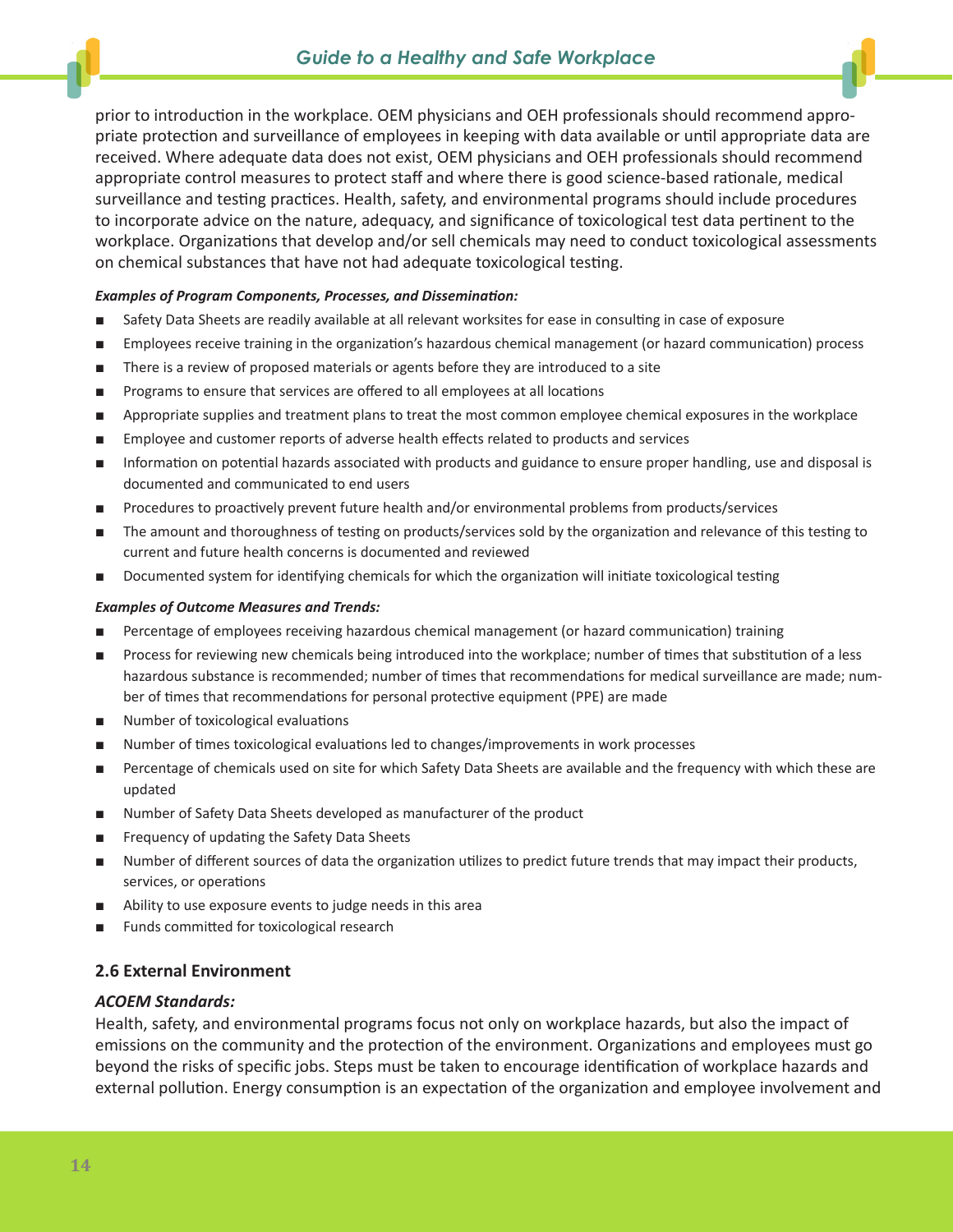prior to introduction in the workplace. OEM physicians and OEH professionals should recommend appropriate protection and surveillance of employees in keeping with data available or until appropriate data are received. Where adequate data does not exist, OEM physicians and OEH professionals should recommend appropriate control measures to protect staff and where there is good science-based rationale, medical surveillance and testing practices. Health, safety, and environmental programs should include procedures to incorporate advice on the nature, adequacy, and significance of toxicological test data pertinent to the workplace. Organizations that develop and/or sell chemicals may need to conduct toxicological assessments on chemical substances that have not had adequate toxicological testing.

#### *Examples of Program Components, Processes, and Dissemination:*

- Safety Data Sheets are readily available at all relevant worksites for ease in consulting in case of exposure
- Employees receive training in the organization's hazardous chemical management (or hazard communication) process
- There is a review of proposed materials or agents before they are introduced to a site
- Programs to ensure that services are offered to all employees at all locations
- Appropriate supplies and treatment plans to treat the most common employee chemical exposures in the workplace
- Employee and customer reports of adverse health effects related to products and services
- Information on potential hazards associated with products and guidance to ensure proper handling, use and disposal is documented and communicated to end users
- Procedures to proactively prevent future health and/or environmental problems from products/services
- The amount and thoroughness of testing on products/services sold by the organization and relevance of this testing to current and future health concerns is documented and reviewed
- Documented system for identifying chemicals for which the organization will initiate toxicological testing

#### *Examples of Outcome Measures and Trends:*

- Percentage of employees receiving hazardous chemical management (or hazard communication) training
- Process for reviewing new chemicals being introduced into the workplace; number of times that substitution of a less hazardous substance is recommended; number of times that recommendations for medical surveillance are made; number of times that recommendations for personal protective equipment (PPE) are made
- Number of toxicological evaluations
- Number of times toxicological evaluations led to changes/improvements in work processes
- Percentage of chemicals used on site for which Safety Data Sheets are available and the frequency with which these are updated
- Number of Safety Data Sheets developed as manufacturer of the product
- Frequency of updating the Safety Data Sheets
- Number of different sources of data the organization utilizes to predict future trends that may impact their products, services, or operations
- Ability to use exposure events to judge needs in this area
- Funds committed for toxicological research

## **2.6 External Environment**

## *ACOEM Standards:*

Health, safety, and environmental programs focus not only on workplace hazards, but also the impact of emissions on the community and the protection of the environment. Organizations and employees must go beyond the risks of specific jobs. Steps must be taken to encourage identification of workplace hazards and external pollution. Energy consumption is an expectation of the organization and employee involvement and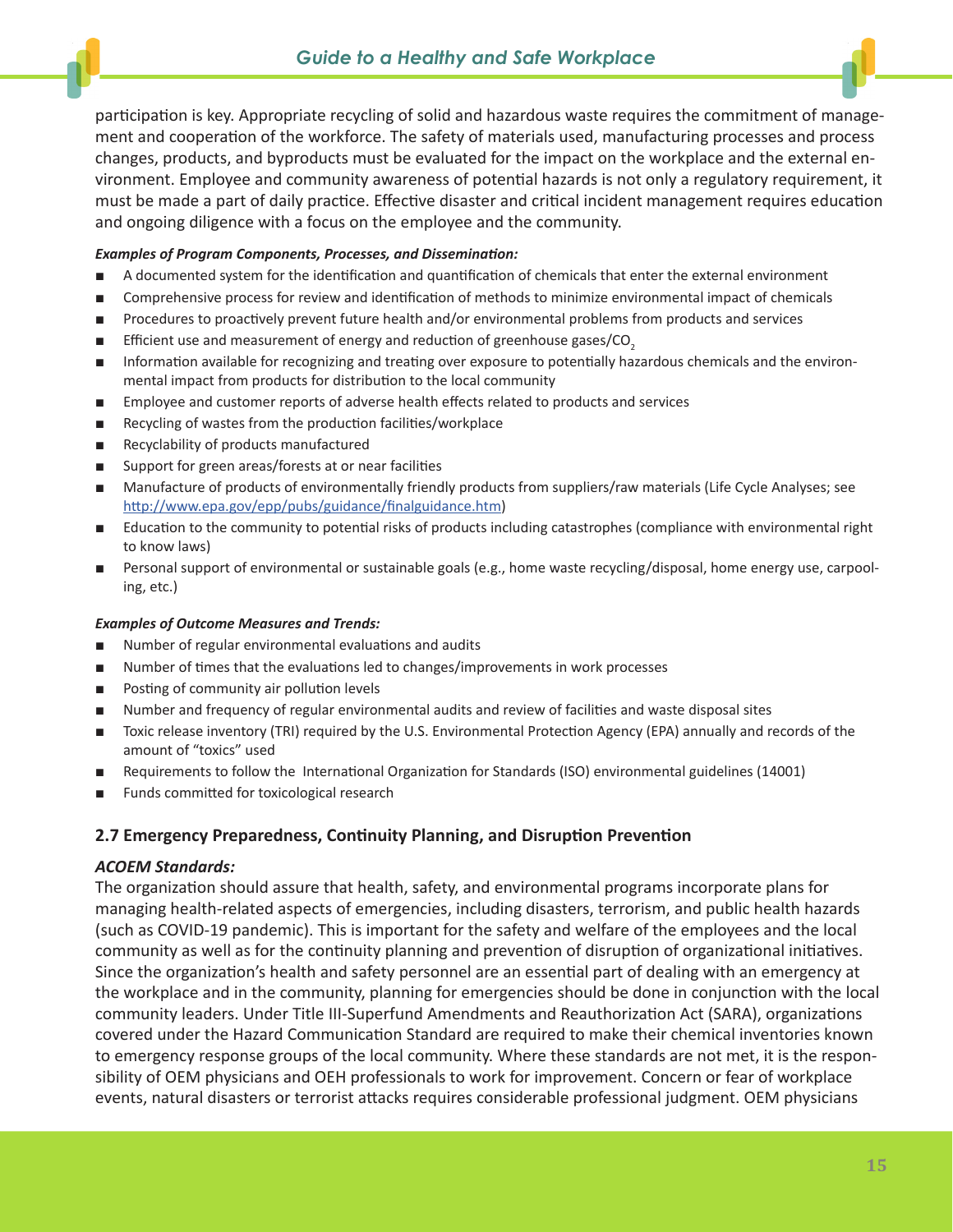participation is key. Appropriate recycling of solid and hazardous waste requires the commitment of management and cooperation of the workforce. The safety of materials used, manufacturing processes and process changes, products, and byproducts must be evaluated for the impact on the workplace and the external environment. Employee and community awareness of potential hazards is not only a regulatory requirement, it must be made a part of daily practice. Effective disaster and critical incident management requires education and ongoing diligence with a focus on the employee and the community.

## *Examples of Program Components, Processes, and Dissemination:*

- A documented system for the identification and quantification of chemicals that enter the external environment
- Comprehensive process for review and identification of methods to minimize environmental impact of chemicals
- Procedures to proactively prevent future health and/or environmental problems from products and services
- Efficient use and measurement of energy and reduction of greenhouse gases/CO<sub>2</sub>
- Information available for recognizing and treating over exposure to potentially hazardous chemicals and the environmental impact from products for distribution to the local community
- Employee and customer reports of adverse health effects related to products and services
- Recycling of wastes from the production facilities/workplace
- Recyclability of products manufactured
- Support for green areas/forests at or near facilities
- Manufacture of products of environmentally friendly products from suppliers/raw materials (Life Cycle Analyses; see <http://www.epa.gov/epp/pubs/guidance/finalguidance.htm>)
- Education to the community to potential risks of products including catastrophes (compliance with environmental right to know laws)
- Personal support of environmental or sustainable goals (e.g., home waste recycling/disposal, home energy use, carpooling, etc.)

#### *Examples of Outcome Measures and Trends:*

- Number of regular environmental evaluations and audits
- Number of times that the evaluations led to changes/improvements in work processes
- Posting of community air pollution levels
- Number and frequency of regular environmental audits and review of facilities and waste disposal sites
- Toxic release inventory (TRI) required by the U.S. Environmental Protection Agency (EPA) annually and records of the amount of "toxics" used
- Requirements to follow the International Organization for Standards (ISO) environmental guidelines (14001)
- Funds committed for toxicological research

## **2.7 Emergency Preparedness, Continuity Planning, and Disruption Prevention**

## *ACOEM Standards:*

The organization should assure that health, safety, and environmental programs incorporate plans for managing health-related aspects of emergencies, including disasters, terrorism, and public health hazards (such as COVID-19 pandemic). This is important for the safety and welfare of the employees and the local community as well as for the continuity planning and prevention of disruption of organizational initiatives. Since the organization's health and safety personnel are an essential part of dealing with an emergency at the workplace and in the community, planning for emergencies should be done in conjunction with the local community leaders. Under Title III-Superfund Amendments and Reauthorization Act (SARA), organizations covered under the Hazard Communication Standard are required to make their chemical inventories known to emergency response groups of the local community. Where these standards are not met, it is the responsibility of OEM physicians and OEH professionals to work for improvement. Concern or fear of workplace events, natural disasters or terrorist attacks requires considerable professional judgment. OEM physicians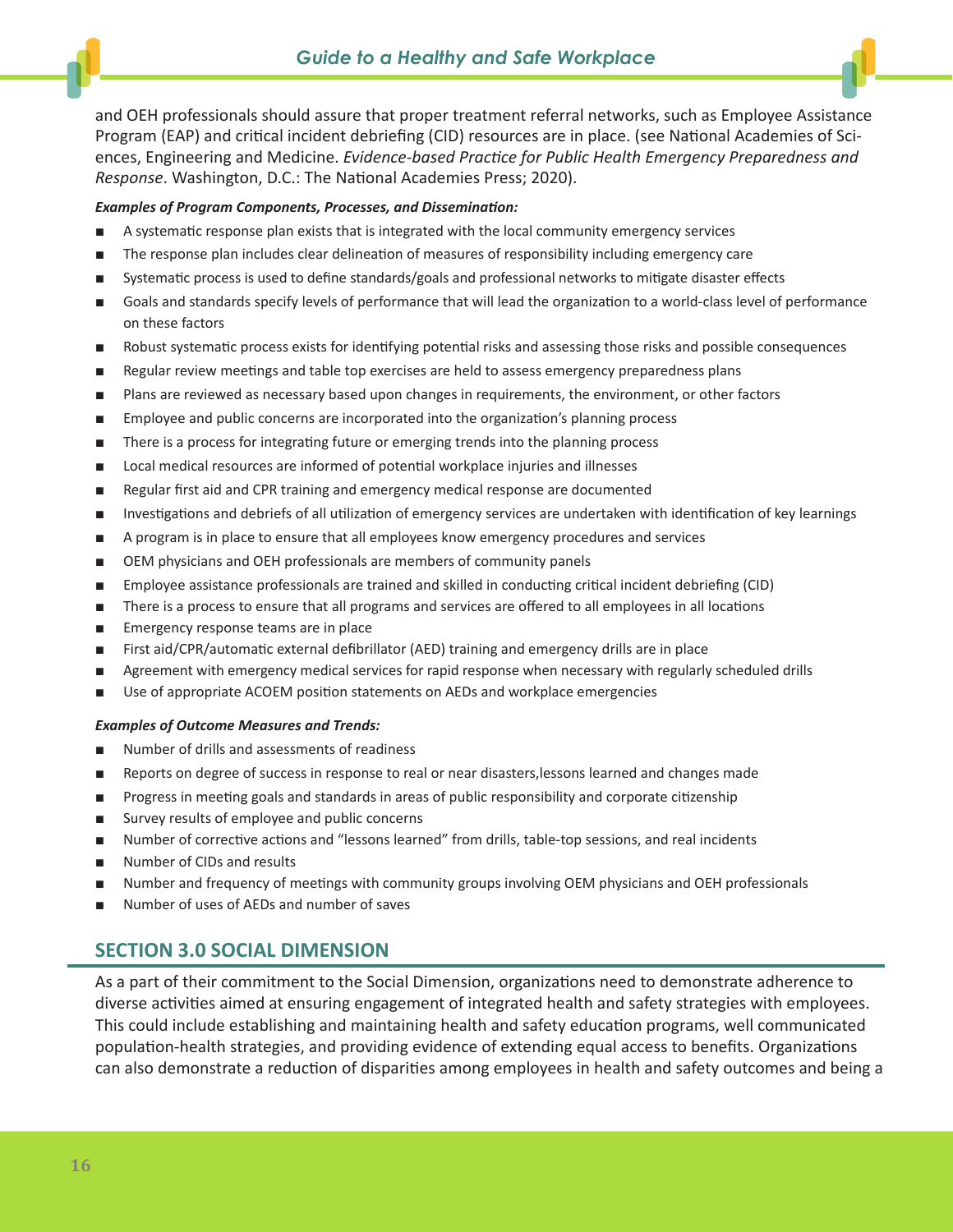and OEH professionals should assure that proper treatment referral networks, such as Employee Assistance Program (EAP) and critical incident debriefing (CID) resources are in place. (see National Academies of Sciences, Engineering and Medicine. *Evidence-based Practice for Public Health Emergency Preparedness and Response*. Washington, D.C.: The National Academies Press; 2020).

#### *Examples of Program Components, Processes, and Dissemination:*

- A systematic response plan exists that is integrated with the local community emergency services
- The response plan includes clear delineation of measures of responsibility including emergency care
- Systematic process is used to define standards/goals and professional networks to mitigate disaster effects
- Goals and standards specify levels of performance that will lead the organization to a world-class level of performance on these factors
- Robust systematic process exists for identifying potential risks and assessing those risks and possible consequences
- Regular review meetings and table top exercises are held to assess emergency preparedness plans
- Plans are reviewed as necessary based upon changes in requirements, the environment, or other factors
- Employee and public concerns are incorporated into the organization's planning process
- There is a process for integrating future or emerging trends into the planning process
- Local medical resources are informed of potential workplace injuries and illnesses
- Regular first aid and CPR training and emergency medical response are documented
- Investigations and debriefs of all utilization of emergency services are undertaken with identification of key learnings
- A program is in place to ensure that all employees know emergency procedures and services
- OEM physicians and OEH professionals are members of community panels
- Employee assistance professionals are trained and skilled in conducting critical incident debriefing (CID)
- There is a process to ensure that all programs and services are offered to all employees in all locations
- Emergency response teams are in place
- First aid/CPR/automatic external defibrillator (AED) training and emergency drills are in place
- Agreement with emergency medical services for rapid response when necessary with regularly scheduled drills
- Use of appropriate ACOEM position statements on AEDs and workplace emergencies

#### *Examples of Outcome Measures and Trends:*

- Number of drills and assessments of readiness
- Reports on degree of success in response to real or near disasters, lessons learned and changes made
- Progress in meeting goals and standards in areas of public responsibility and corporate citizenship
- Survey results of employee and public concerns
- Number of corrective actions and "lessons learned" from drills, table-top sessions, and real incidents
- Number of CIDs and results
- Number and frequency of meetings with community groups involving OEM physicians and OEH professionals
- Number of uses of AEDs and number of saves

# **SECTION 3.0 SOCIAL DIMENSION**

As a part of their commitment to the Social Dimension, organizations need to demonstrate adherence to diverse activities aimed at ensuring engagement of integrated health and safety strategies with employees. This could include establishing and maintaining health and safety education programs, well communicated population-health strategies, and providing evidence of extending equal access to benefits. Organizations can also demonstrate a reduction of disparities among employees in health and safety outcomes and being a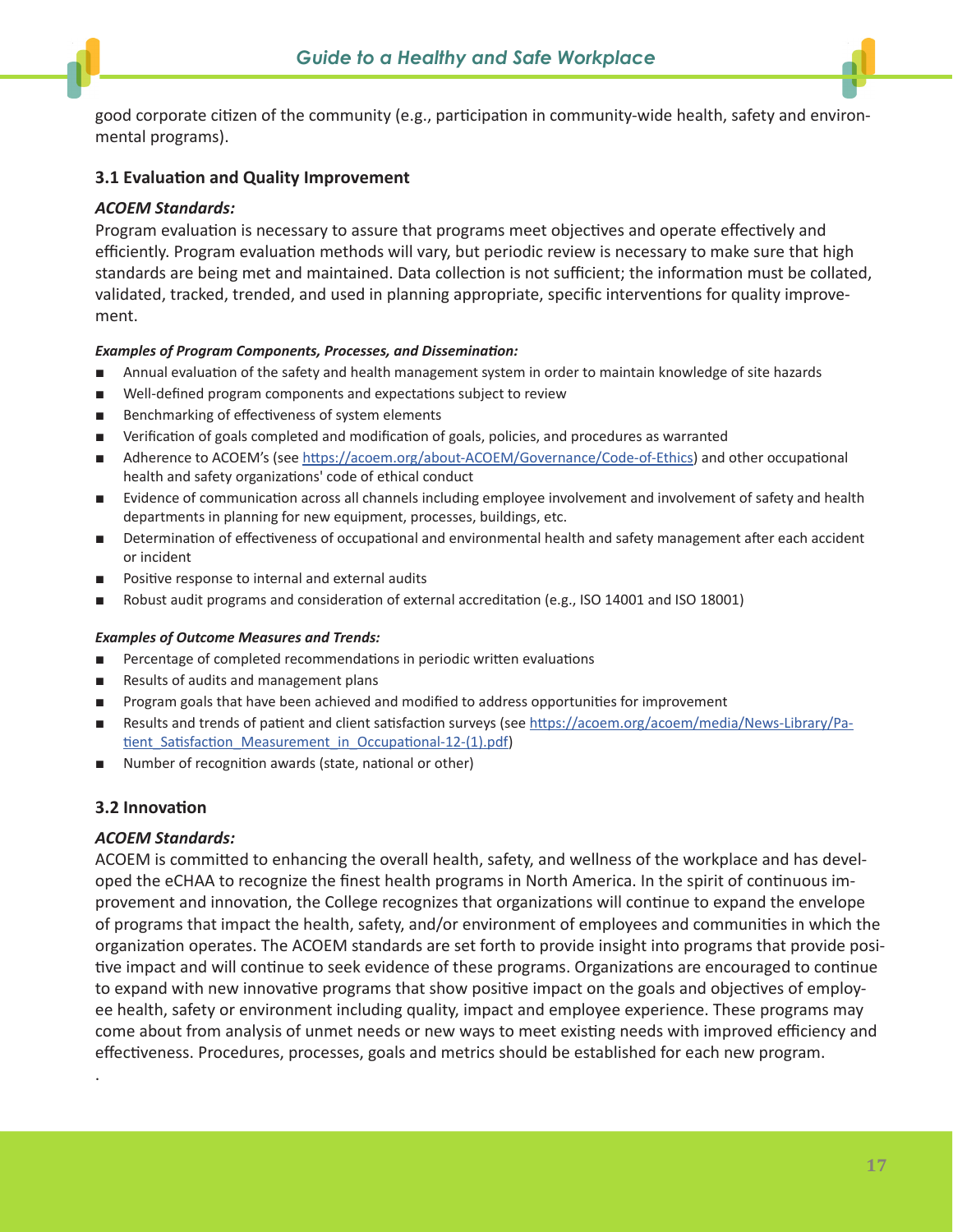good corporate citizen of the community (e.g., participation in community-wide health, safety and environmental programs).

# **3.1 Evaluation and Quality Improvement**

# *ACOEM Standards:*

Program evaluation is necessary to assure that programs meet objectives and operate effectively and efficiently. Program evaluation methods will vary, but periodic review is necessary to make sure that high standards are being met and maintained. Data collection is not sufficient; the information must be collated, validated, tracked, trended, and used in planning appropriate, specific interventions for quality improvement.

## *Examples of Program Components, Processes, and Dissemination:*

- Annual evaluation of the safety and health management system in order to maintain knowledge of site hazards
- Well-defined program components and expectations subject to review
- Benchmarking of effectiveness of system elements
- Verification of goals completed and modification of goals, policies, and procedures as warranted
- Adherence to ACOEM's (see [https://acoem.org/about-ACOEM/Governance/Code-of-Ethics\)](https://acoem.org/about-ACOEM/Governance/Code-of-Ethics) and other occupational health and safety organizations' code of ethical conduct
- Evidence of communication across all channels including employee involvement and involvement of safety and health departments in planning for new equipment, processes, buildings, etc.
- Determination of effectiveness of occupational and environmental health and safety management after each accident or incident
- Positive response to internal and external audits
- Robust audit programs and consideration of external accreditation (e.g., ISO 14001 and ISO 18001)

## *Examples of Outcome Measures and Trends:*

- Percentage of completed recommendations in periodic written evaluations
- Results of audits and management plans
- Program goals that have been achieved and modified to address opportunities for improvement
- Results and trends of patient and client satisfaction surveys (see [https://acoem.org/acoem/media/News-Library/Pa](https://acoem.org/acoem/media/News-Library/Patient_Satisfaction_Measurement_in_Occupational-12-(1).pdf)tient Satisfaction Measurement in Occupational-12-(1).pdf)
- Number of recognition awards (state, national or other)

# **3.2 Innovation**

.

# *ACOEM Standards:*

ACOEM is committed to enhancing the overall health, safety, and wellness of the workplace and has developed the eCHAA to recognize the finest health programs in North America. In the spirit of continuous improvement and innovation, the College recognizes that organizations will continue to expand the envelope of programs that impact the health, safety, and/or environment of employees and communities in which the organization operates. The ACOEM standards are set forth to provide insight into programs that provide positive impact and will continue to seek evidence of these programs. Organizations are encouraged to continue to expand with new innovative programs that show positive impact on the goals and objectives of employee health, safety or environment including quality, impact and employee experience. These programs may come about from analysis of unmet needs or new ways to meet existing needs with improved efficiency and effectiveness. Procedures, processes, goals and metrics should be established for each new program.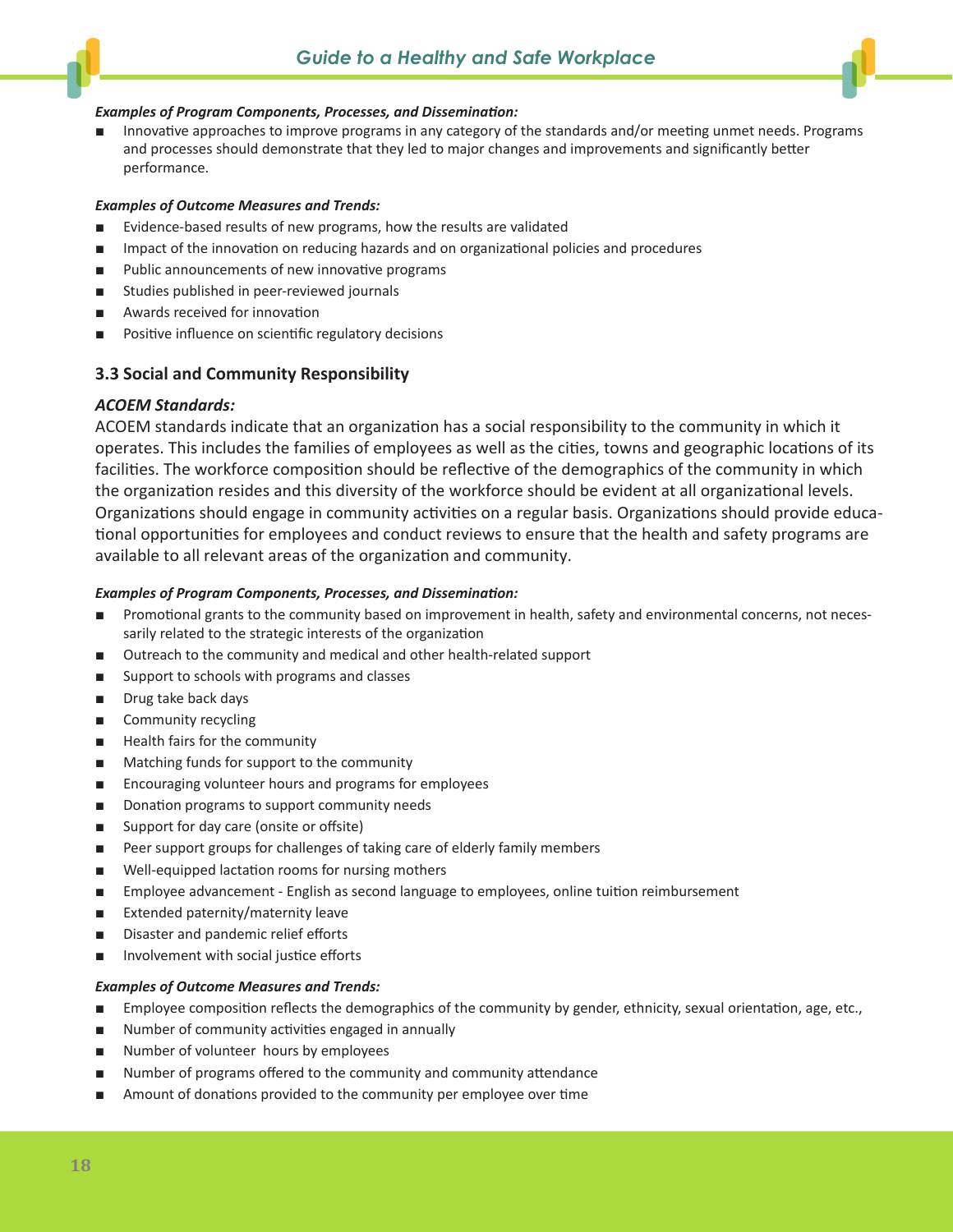#### *Examples of Program Components, Processes, and Dissemination:*

Innovative approaches to improve programs in any category of the standards and/or meeting unmet needs. Programs and processes should demonstrate that they led to major changes and improvements and significantly better performance.

#### *Examples of Outcome Measures and Trends:*

- Evidence-based results of new programs, how the results are validated
- Impact of the innovation on reducing hazards and on organizational policies and procedures
- Public announcements of new innovative programs
- Studies published in peer-reviewed journals
- Awards received for innovation
- Positive influence on scientific regulatory decisions

## **3.3 Social and Community Responsibility**

#### *ACOEM Standards:*

ACOEM standards indicate that an organization has a social responsibility to the community in which it operates. This includes the families of employees as well as the cities, towns and geographic locations of its facilities. The workforce composition should be reflective of the demographics of the community in which the organization resides and this diversity of the workforce should be evident at all organizational levels. Organizations should engage in community activities on a regular basis. Organizations should provide educational opportunities for employees and conduct reviews to ensure that the health and safety programs are available to all relevant areas of the organization and community.

#### *Examples of Program Components, Processes, and Dissemination:*

- Promotional grants to the community based on improvement in health, safety and environmental concerns, not necessarily related to the strategic interests of the organization
- Outreach to the community and medical and other health-related support
- Support to schools with programs and classes
- Drug take back days
- Community recycling
- Health fairs for the community
- Matching funds for support to the community
- Encouraging volunteer hours and programs for employees
- Donation programs to support community needs
- Support for day care (onsite or offsite)
- Peer support groups for challenges of taking care of elderly family members
- Well-equipped lactation rooms for nursing mothers
- Employee advancement English as second language to employees, online tuition reimbursement
- Extended paternity/maternity leave
- Disaster and pandemic relief efforts
- Involvement with social justice efforts

- Employee composition reflects the demographics of the community by gender, ethnicity, sexual orientation, age, etc.,
- Number of community activities engaged in annually
- Number of volunteer hours by employees
- Number of programs offered to the community and community attendance
- Amount of donations provided to the community per employee over time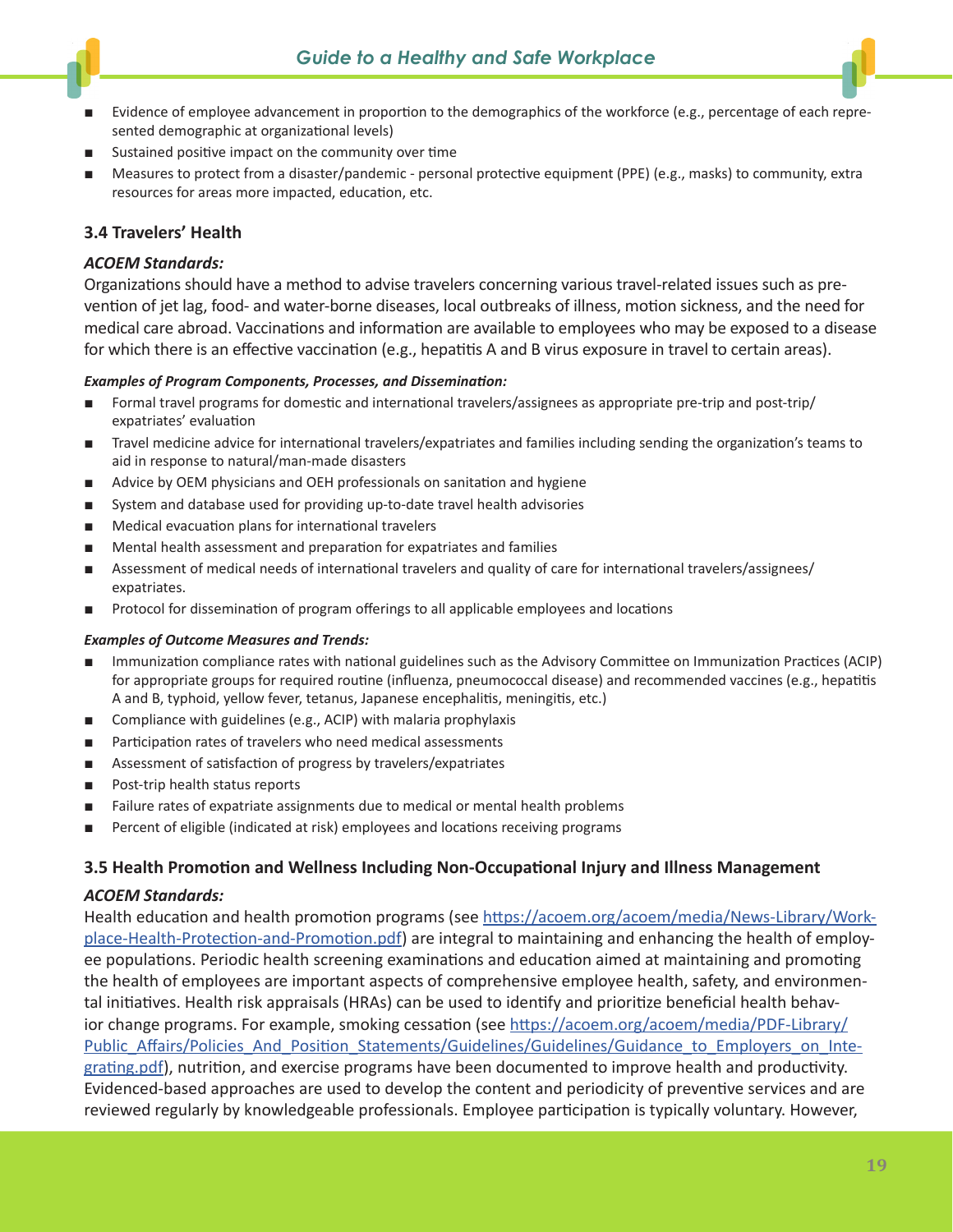- Evidence of employee advancement in proportion to the demographics of the workforce (e.g., percentage of each represented demographic at organizational levels)
- Sustained positive impact on the community over time
- Measures to protect from a disaster/pandemic personal protective equipment (PPE) (e.g., masks) to community, extra resources for areas more impacted, education, etc.

# **3.4 Travelers' Health**

## *ACOEM Standards:*

Organizations should have a method to advise travelers concerning various travel-related issues such as prevention of jet lag, food- and water-borne diseases, local outbreaks of illness, motion sickness, and the need for medical care abroad. Vaccinations and information are available to employees who may be exposed to a disease for which there is an effective vaccination (e.g., hepatitis A and B virus exposure in travel to certain areas).

## *Examples of Program Components, Processes, and Dissemination:*

- Formal travel programs for domestic and international travelers/assignees as appropriate pre-trip and post-trip/ expatriates' evaluation
- Travel medicine advice for international travelers/expatriates and families including sending the organization's teams to aid in response to natural/man-made disasters
- Advice by OEM physicians and OEH professionals on sanitation and hygiene
- System and database used for providing up-to-date travel health advisories
- Medical evacuation plans for international travelers
- Mental health assessment and preparation for expatriates and families
- Assessment of medical needs of international travelers and quality of care for international travelers/assignees/ expatriates.
- Protocol for dissemination of program offerings to all applicable employees and locations

## *Examples of Outcome Measures and Trends:*

- Immunization compliance rates with national guidelines such as the Advisory Committee on Immunization Practices (ACIP) for appropriate groups for required routine (influenza, pneumococcal disease) and recommended vaccines (e.g., hepatitis A and B, typhoid, yellow fever, tetanus, Japanese encephalitis, meningitis, etc.)
- Compliance with guidelines (e.g., ACIP) with malaria prophylaxis
- Participation rates of travelers who need medical assessments
- Assessment of satisfaction of progress by travelers/expatriates
- Post-trip health status reports
- Failure rates of expatriate assignments due to medical or mental health problems
- Percent of eligible (indicated at risk) employees and locations receiving programs

# **3.5 Health Promotion and Wellness Including Non-Occupational Injury and Illness Management**

## *ACOEM Standards:*

Health education and health promotion programs (see [https://acoem.org/acoem/media/News-Library/Work](https://acoem.org/acoem/media/News-Library/Workplace-Health-Protection-and-Promotion.pdf)[place-Health-Protection-and-Promotion.pdf](https://acoem.org/acoem/media/News-Library/Workplace-Health-Protection-and-Promotion.pdf)) are integral to maintaining and enhancing the health of employee populations. Periodic health screening examinations and education aimed at maintaining and promoting the health of employees are important aspects of comprehensive employee health, safety, and environmental initiatives. Health risk appraisals (HRAs) can be used to identify and prioritize beneficial health behavior c[h](http://h)ange programs. For example, smoking cessation (see h[ttps://acoem.org/acoem/media/PDF-Library/](https://acoem.org/acoem/media/PDF-Library/Public_Affairs/Policies_And_Position_Statements/Guidelines/Guidelines/Guidance_to_Employers_on_Integrating.pdf) Public Affairs/Policies And Position Statements/Guidelines/Guidelines/Guidance to Employers on Inte[grating.pdf](https://acoem.org/acoem/media/PDF-Library/Public_Affairs/Policies_And_Position_Statements/Guidelines/Guidelines/Guidance_to_Employers_on_Integrating.pdf)), nutrition, and exercise programs have been documented to improve health and productivity. Evidenced-based approaches are used to develop the content and periodicity of preventive services and are reviewed regularly by knowledgeable professionals. Employee participation is typically voluntary. However,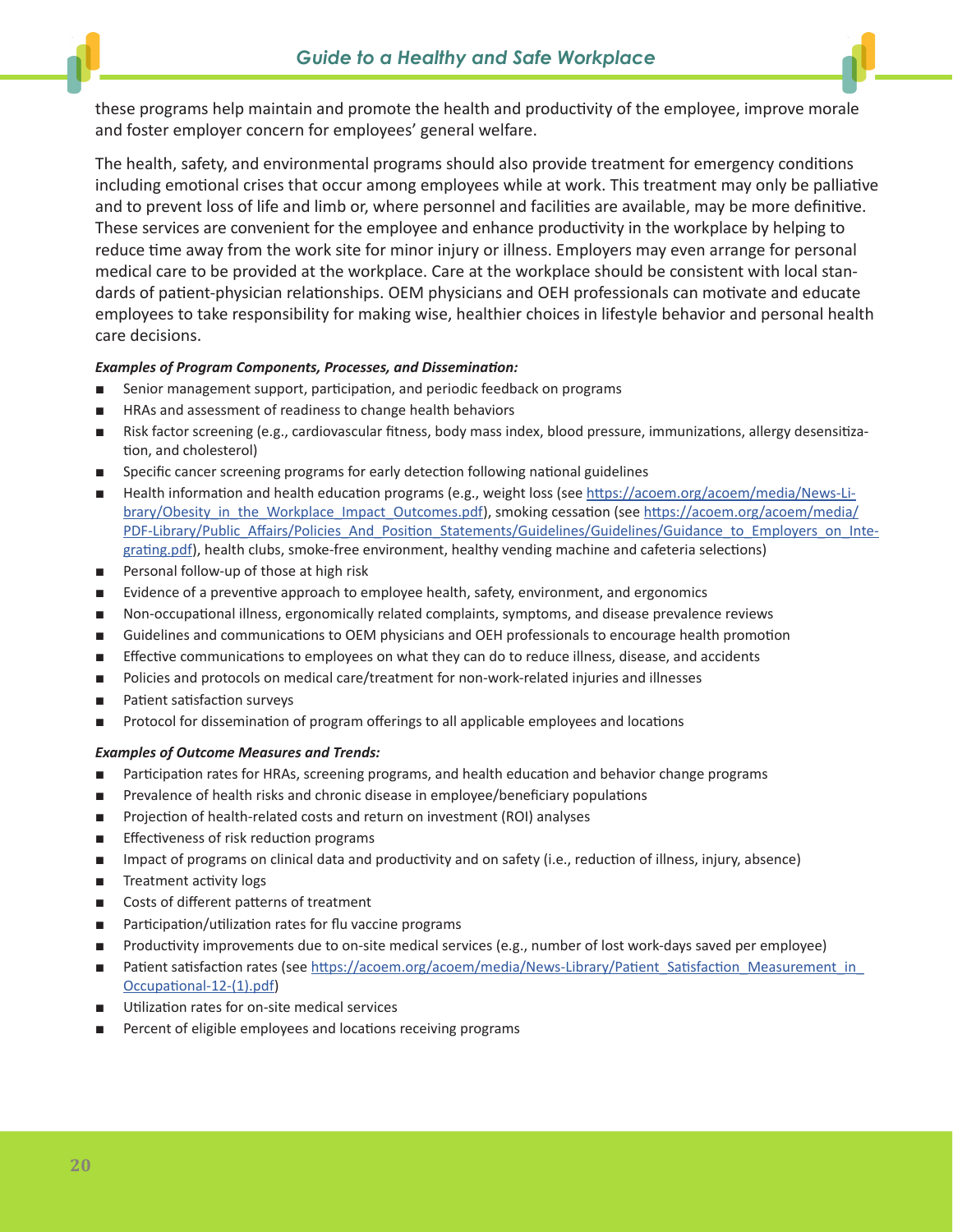

these programs help maintain and promote the health and productivity of the employee, improve morale and foster employer concern for employees' general welfare.

The health, safety, and environmental programs should also provide treatment for emergency conditions including emotional crises that occur among employees while at work. This treatment may only be palliative and to prevent loss of life and limb or, where personnel and facilities are available, may be more definitive. These services are convenient for the employee and enhance productivity in the workplace by helping to reduce time away from the work site for minor injury or illness. Employers may even arrange for personal medical care to be provided at the workplace. Care at the workplace should be consistent with local standards of patient-physician relationships. OEM physicians and OEH professionals can motivate and educate employees to take responsibility for making wise, healthier choices in lifestyle behavior and personal health care decisions.

## *Examples of Program Components, Processes, and Dissemination:*

- Senior management support, participation, and periodic feedback on programs
- HRAs and assessment of readiness to change health behaviors
- Risk factor screening (e.g., cardiovascular fitness, body mass index, blood pressure, immunizations, allergy desensitization, and cholesterol)
- Specific cancer screening programs for early detection following national guidelines
- Health information and health education programs (e.g., weight loss (see [https://acoem.org/acoem/media/News-Li](https://acoem.org/acoem/media/News-Library/Obesity_in_the_Workplace_Impact_Outcomes.pdf)[brary/Obesity\\_in\\_the\\_Workplace\\_Impact\\_Outcomes.pdf](https://acoem.org/acoem/media/News-Library/Obesity_in_the_Workplace_Impact_Outcomes.pdf)), smoking cessation (see [https://acoem.org/acoem/media/](https://acoem.org/acoem/media/PDF-Library/Public_Affairs/Policies_And_Position_Statements/Guidelines/Guidelines/Guidance_to_Employers_on_Integrating.pdf) [PDF-Library/Public\\_Affairs/Policies\\_And\\_Position\\_Statements/Guidelines/Guidelines/Guidance\\_to\\_Employers\\_on\\_Inte](https://acoem.org/acoem/media/PDF-Library/Public_Affairs/Policies_And_Position_Statements/Guidelines/Guidelines/Guidance_to_Employers_on_Integrating.pdf)[grating.pdf\)](https://acoem.org/acoem/media/PDF-Library/Public_Affairs/Policies_And_Position_Statements/Guidelines/Guidelines/Guidance_to_Employers_on_Integrating.pdf), health clubs, smoke-free environment, healthy vending machine and cafeteria selections)
- Personal follow-up of those at high risk
- Evidence of a preventive approach to employee health, safety, environment, and ergonomics
- Non-occupational illness, ergonomically related complaints, symptoms, and disease prevalence reviews
- Guidelines and communications to OEM physicians and OEH professionals to encourage health promotion
- Effective communications to employees on what they can do to reduce illness, disease, and accidents
- Policies and protocols on medical care/treatment for non-work-related injuries and illnesses
- Patient satisfaction surveys
- Protocol for dissemination of program offerings to all applicable employees and locations

- Participation rates for HRAs, screening programs, and health education and behavior change programs
- Prevalence of health risks and chronic disease in employee/beneficiary populations
- Projection of health-related costs and return on investment (ROI) analyses
- Effectiveness of risk reduction programs
- Impact of programs on clinical data and productivity and on safety (i.e., reduction of illness, injury, absence)
- Treatment activity logs
- Costs of different patterns of treatment
- Participation/utilization rates for flu vaccine programs
- Productivity improvements due to on-site medical services (e.g., number of lost work-days saved per employee)
- Patient satisfaction rates (see [https://acoem.org/acoem/media/News-Library/Patient\\_Satisfaction\\_Measurement\\_in\\_](https://acoem.org/acoem/media/News-Library/Patient_Satisfaction_Measurement_in_Occupational-12-(1).pdf) [Occupational-12-\(1\).pdf](https://acoem.org/acoem/media/News-Library/Patient_Satisfaction_Measurement_in_Occupational-12-(1).pdf))
- Utilization rates for on-site medical services
- Percent of eligible employees and locations receiving programs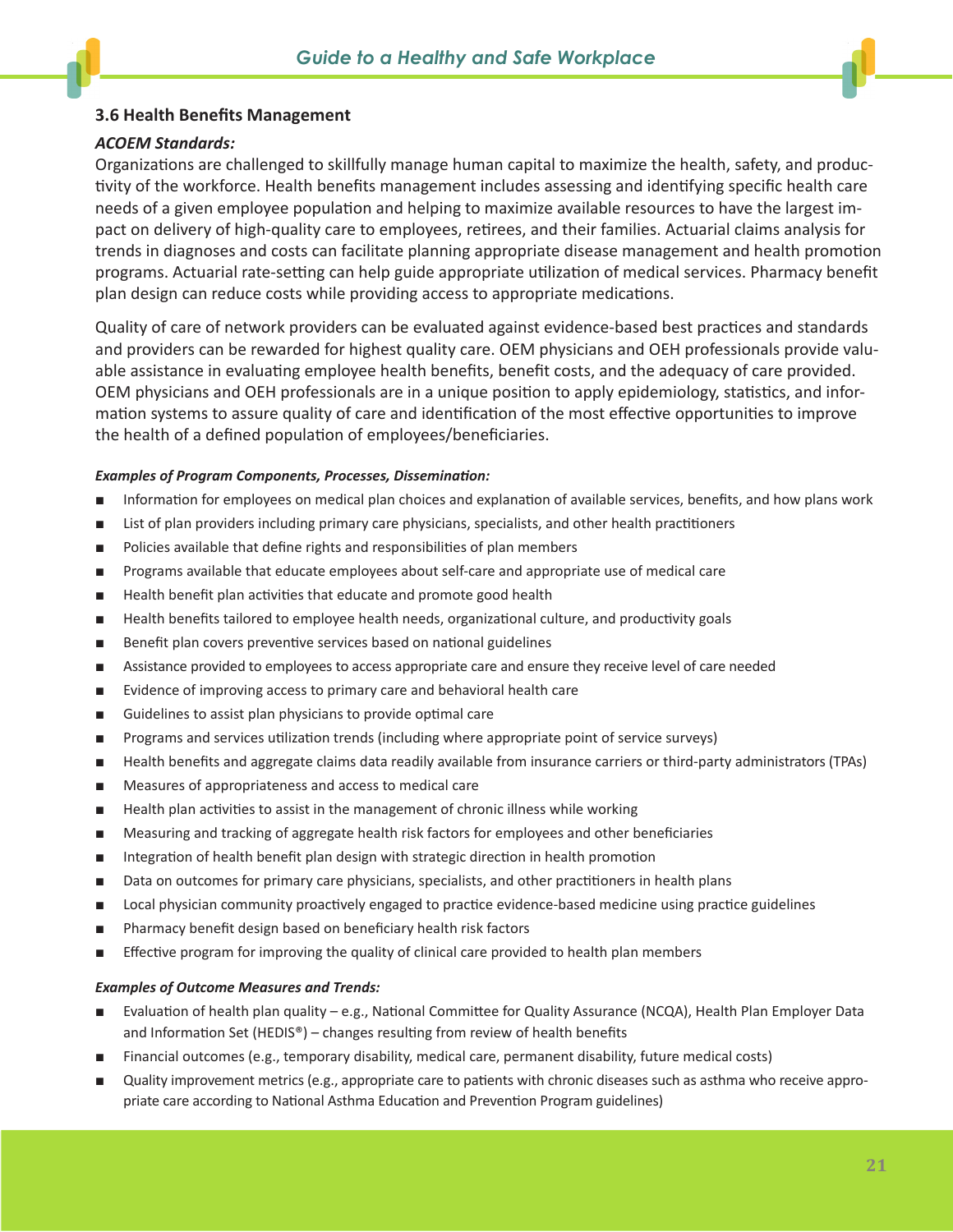## **3.6 Health Benefits Management**

## *ACOEM Standards:*

Organizations are challenged to skillfully manage human capital to maximize the health, safety, and productivity of the workforce. Health benefits management includes assessing and identifying specific health care needs of a given employee population and helping to maximize available resources to have the largest impact on delivery of high-quality care to employees, retirees, and their families. Actuarial claims analysis for trends in diagnoses and costs can facilitate planning appropriate disease management and health promotion programs. Actuarial rate-setting can help guide appropriate utilization of medical services. Pharmacy benefit plan design can reduce costs while providing access to appropriate medications.

Quality of care of network providers can be evaluated against evidence-based best practices and standards and providers can be rewarded for highest quality care. OEM physicians and OEH professionals provide valuable assistance in evaluating employee health benefits, benefit costs, and the adequacy of care provided. OEM physicians and OEH professionals are in a unique position to apply epidemiology, statistics, and information systems to assure quality of care and identification of the most effective opportunities to improve the health of a defined population of employees/beneficiaries.

#### *Examples of Program Components, Processes, Dissemination:*

- Information for employees on medical plan choices and explanation of available services, benefits, and how plans work
- List of plan providers including primary care physicians, specialists, and other health practitioners
- Policies available that define rights and responsibilities of plan members
- Programs available that educate employees about self-care and appropriate use of medical care
- Health benefit plan activities that educate and promote good health
- Health benefits tailored to employee health needs, organizational culture, and productivity goals
- Benefit plan covers preventive services based on national guidelines
- Assistance provided to employees to access appropriate care and ensure they receive level of care needed
- Evidence of improving access to primary care and behavioral health care
- Guidelines to assist plan physicians to provide optimal care
- Programs and services utilization trends (including where appropriate point of service surveys)
- Health benefits and aggregate claims data readily available from insurance carriers or third-party administrators (TPAs)
- Measures of appropriateness and access to medical care
- Health plan activities to assist in the management of chronic illness while working
- Measuring and tracking of aggregate health risk factors for employees and other beneficiaries
- Integration of health benefit plan design with strategic direction in health promotion
- Data on outcomes for primary care physicians, specialists, and other practitioners in health plans
- Local physician community proactively engaged to practice evidence-based medicine using practice guidelines
- Pharmacy benefit design based on beneficiary health risk factors
- Effective program for improving the quality of clinical care provided to health plan members

- Evaluation of health plan quality e.g., National Committee for Quality Assurance (NCQA), Health Plan Employer Data and Information Set (HEDIS®) – changes resulting from review of health benefits
- Financial outcomes (e.g., temporary disability, medical care, permanent disability, future medical costs)
- Quality improvement metrics (e.g., appropriate care to patients with chronic diseases such as asthma who receive appropriate care according to National Asthma Education and Prevention Program guidelines)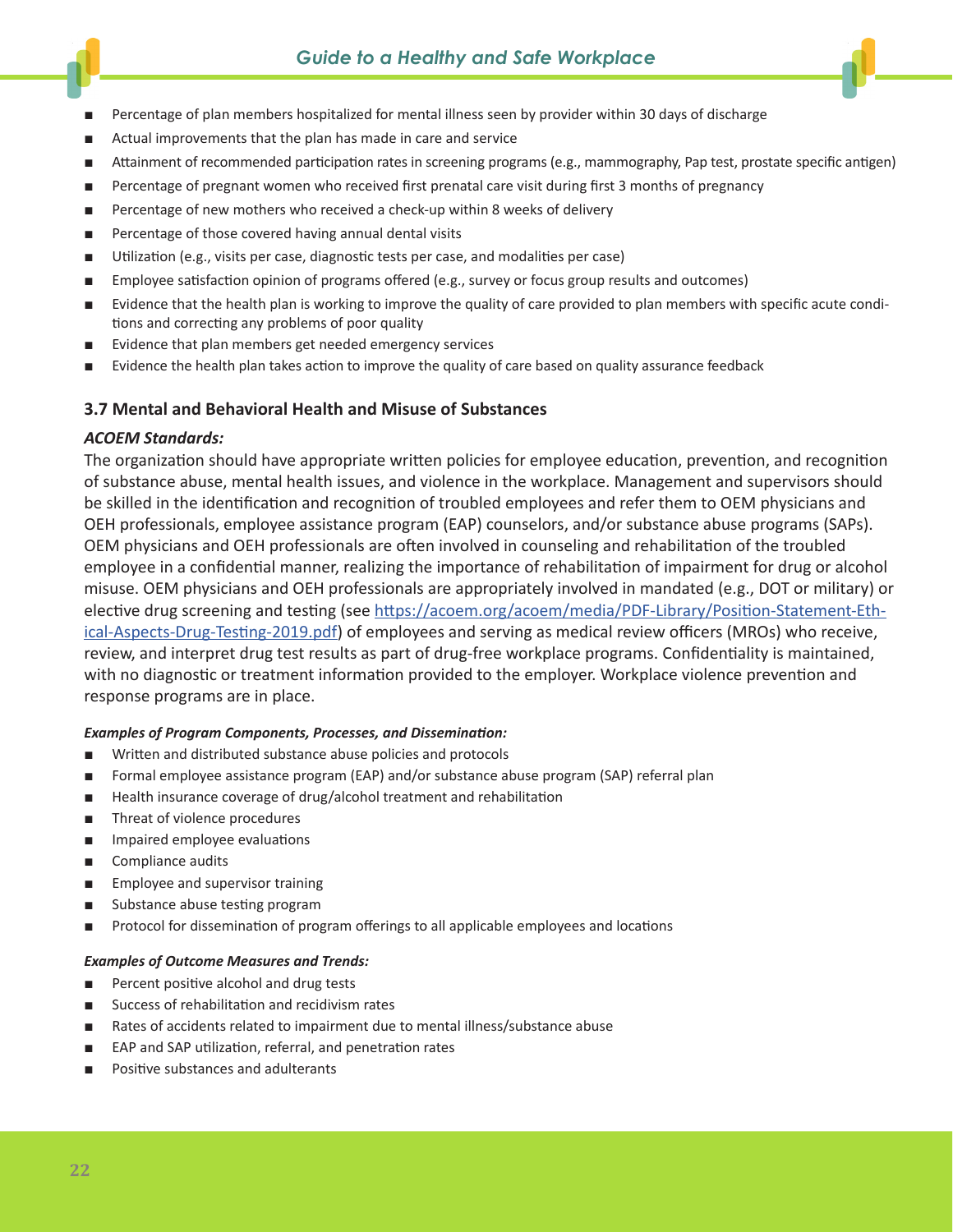

- Actual improvements that the plan has made in care and service
- Attainment of recommended participation rates in screening programs (e.g., mammography, Pap test, prostate specific antigen)
- Percentage of pregnant women who received first prenatal care visit during first 3 months of pregnancy
- Percentage of new mothers who received a check-up within 8 weeks of delivery
- Percentage of those covered having annual dental visits
- Utilization (e.g., visits per case, diagnostic tests per case, and modalities per case)
- Employee satisfaction opinion of programs offered (e.g., survey or focus group results and outcomes)
- Evidence that the health plan is working to improve the quality of care provided to plan members with specific acute conditions and correcting any problems of poor quality
- Evidence that plan members get needed emergency services
- Evidence the health plan takes action to improve the quality of care based on quality assurance feedback

## **3.7 Mental and Behavioral Health and Misuse of Substances**

#### *ACOEM Standards:*

The organization should have appropriate written policies for employee education, prevention, and recognition of substance abuse, mental health issues, and violence in the workplace. Management and supervisors should be skilled in the identification and recognition of troubled employees and refer them to OEM physicians and OEH professionals, employee assistance program (EAP) counselors, and/or substance abuse programs (SAPs). OEM physicians and OEH professionals are often involved in counseling and rehabilitation of the troubled employee in a confidential manner, realizing the importance of rehabilitation of impairment for drug or alcohol misuse. OEM physicians and OEH professionals are appropriately involved in mandated (e.g., DOT or military) or elective drug screening and testing (see [https://acoem.org/acoem/media/PDF-Library/Position-Statement-Eth](https://acoem.org/acoem/media/PDF-Library/Position-Statement-Ethical-Aspects-Drug-Testing-2019.pdf)[ical-Aspects-Drug-Testing-2019.pdf\)](https://acoem.org/acoem/media/PDF-Library/Position-Statement-Ethical-Aspects-Drug-Testing-2019.pdf) of employees and serving as medical review officers (MROs) who receive, review, and interpret drug test results as part of drug-free workplace programs. Confidentiality is maintained, with no diagnostic or treatment information provided to the employer. Workplace violence prevention and response programs are in place.

#### *Examples of Program Components, Processes, and Dissemination:*

- Written and distributed substance abuse policies and protocols
- Formal employee assistance program (EAP) and/or substance abuse program (SAP) referral plan
- Health insurance coverage of drug/alcohol treatment and rehabilitation
- Threat of violence procedures
- Impaired employee evaluations
- Compliance audits
- Employee and supervisor training
- Substance abuse testing program
- Protocol for dissemination of program offerings to all applicable employees and locations

- Percent positive alcohol and drug tests
- Success of rehabilitation and recidivism rates
- Rates of accidents related to impairment due to mental illness/substance abuse
- EAP and SAP utilization, referral, and penetration rates
- Positive substances and adulterants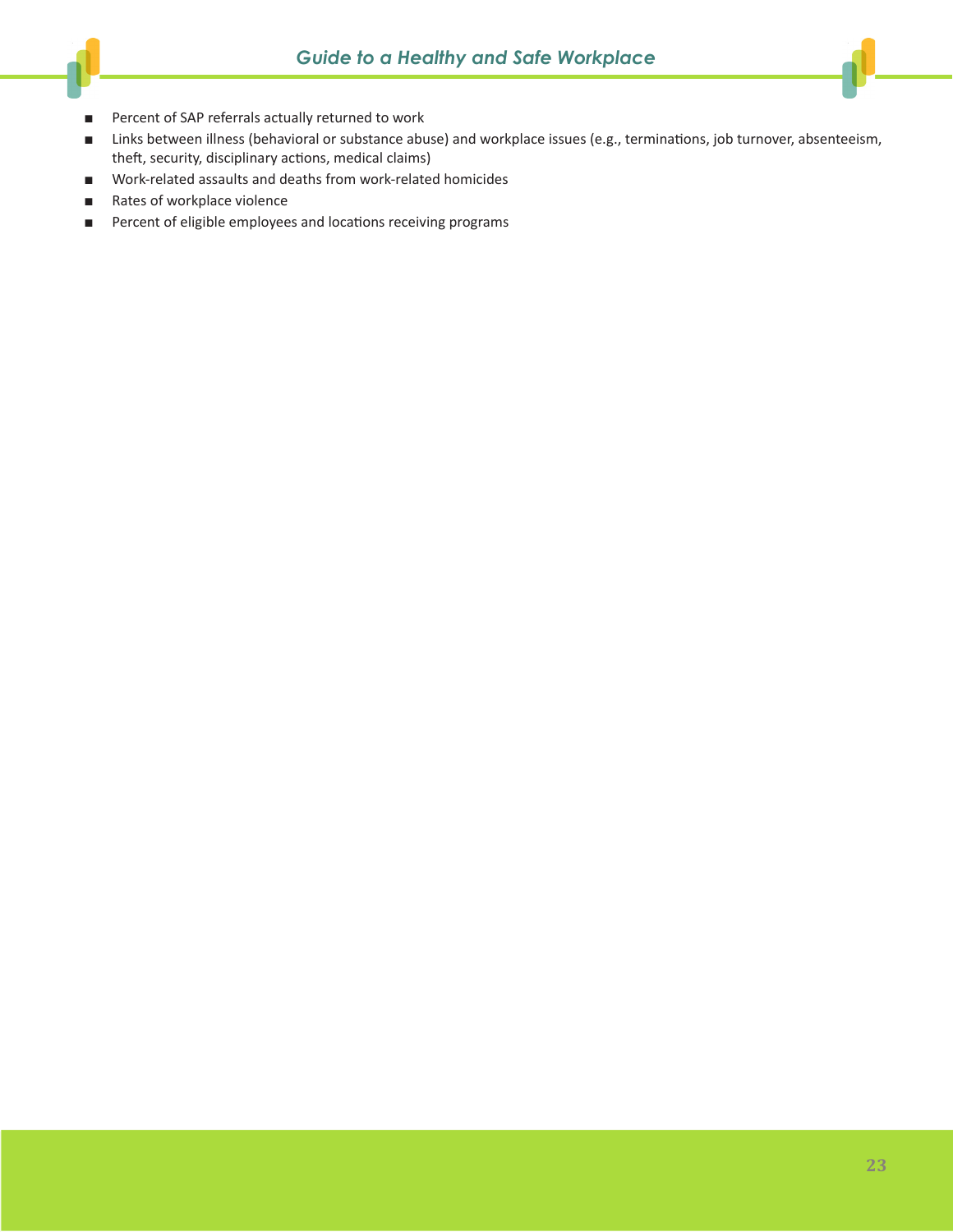



- Links between illness (behavioral or substance abuse) and workplace issues (e.g., terminations, job turnover, absenteeism, theft, security, disciplinary actions, medical claims)
- Work-related assaults and deaths from work-related homicides
- Rates of workplace violence
- Percent of eligible employees and locations receiving programs